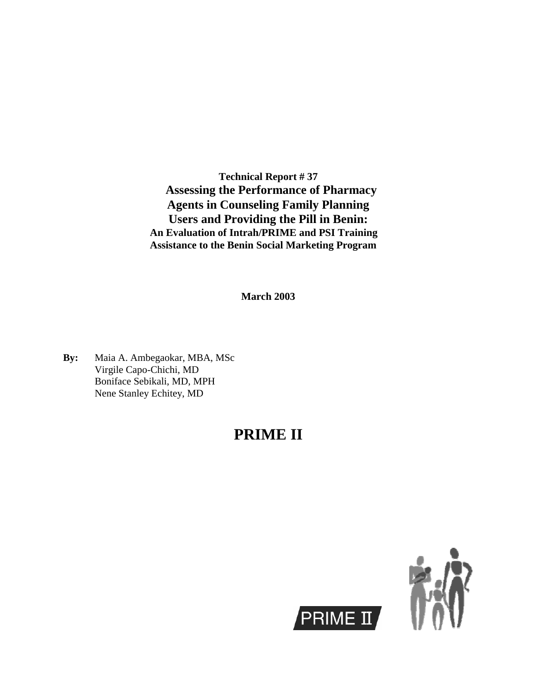**Technical Report # 37 Assessing the Performance of Pharmacy Agents in Counseling Family Planning Users and Providing the Pill in Benin: An Evaluation of Intrah/PRIME and PSI Training Assistance to the Benin Social Marketing Program**

**March 2003**

**By:** Maia A. Ambegaokar, MBA, MSc Virgile Capo-Chichi, MD Boniface Sebikali, MD, MPH Nene Stanley Echitey, MD

## **PRIME II**

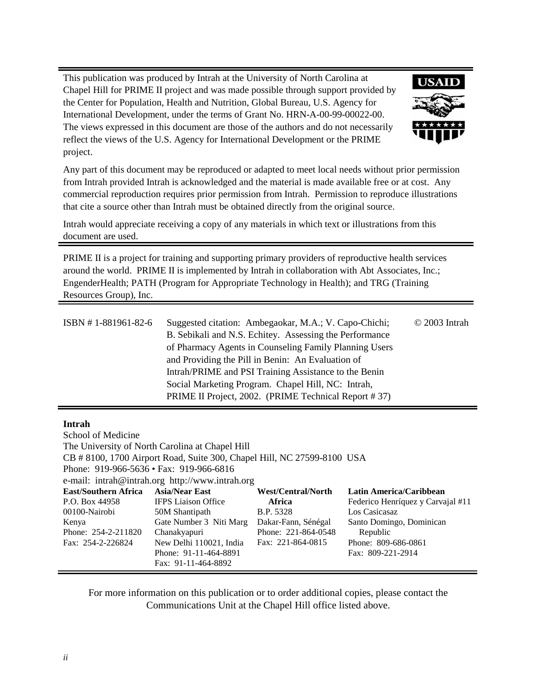This publication was produced by Intrah at the University of North Carolina at Chapel Hill for PRIME II project and was made possible through support provided by the Center for Population, Health and Nutrition, Global Bureau, U.S. Agency for International Development, under the terms of Grant No. HRN-A-00-99-00022-00. The views expressed in this document are those of the authors and do not necessarily reflect the views of the U.S. Agency for International Development or the PRIME project.



Any part of this document may be reproduced or adapted to meet local needs without prior permission from Intrah provided Intrah is acknowledged and the material is made available free or at cost. Any commercial reproduction requires prior permission from Intrah. Permission to reproduce illustrations that cite a source other than Intrah must be obtained directly from the original source.

Intrah would appreciate receiving a copy of any materials in which text or illustrations from this document are used.

PRIME II is a project for training and supporting primary providers of reproductive health services around the world. PRIME II is implemented by Intrah in collaboration with Abt Associates, Inc.; EngenderHealth; PATH (Program for Appropriate Technology in Health); and TRG (Training Resources Group), Inc.

| ISBN #1-881961-82-6 | Suggested citation: Ambegaokar, M.A.; V. Capo-Chichi;<br>B. Sebikali and N.S. Echitey. Assessing the Performance<br>of Pharmacy Agents in Counseling Family Planning Users<br>and Providing the Pill in Benin: An Evaluation of<br>Intrah/PRIME and PSI Training Assistance to the Benin | $\odot$ 2003 Intrah |
|---------------------|------------------------------------------------------------------------------------------------------------------------------------------------------------------------------------------------------------------------------------------------------------------------------------------|---------------------|
|                     | Social Marketing Program. Chapel Hill, NC: Intrah,<br>PRIME II Project, 2002. (PRIME Technical Report #37)                                                                                                                                                                               |                     |

#### **Intrah**

| School of Medicine                                    |                                                                         |                     |                                   |
|-------------------------------------------------------|-------------------------------------------------------------------------|---------------------|-----------------------------------|
|                                                       | The University of North Carolina at Chapel Hill                         |                     |                                   |
|                                                       | CB # 8100, 1700 Airport Road, Suite 300, Chapel Hill, NC 27599-8100 USA |                     |                                   |
| Phone: $919-966-5636 \cdot \text{Fax: } 919-966-6816$ |                                                                         |                     |                                   |
|                                                       | e-mail: intrah@intrah.org http://www.intrah.org                         |                     |                                   |
| <b>East/Southern Africa</b>                           | <b>Asia/Near East</b>                                                   | West/Central/North  | Latin America/Caribbean           |
| P.O. Box 44958                                        | <b>IFPS</b> Liaison Office                                              | Africa              | Federico Henríquez y Carvajal #11 |
| 00100-Nairobi                                         | 50M Shantipath                                                          | <b>B.P.</b> 5328    | Los Casicasaz                     |
| Kenya                                                 | Gate Number 3 Niti Marg                                                 | Dakar-Fann, Sénégal | Santo Domingo, Dominican          |
| Phone: 254-2-211820                                   | Chanakyapuri                                                            | Phone: 221-864-0548 | Republic                          |
| Fax: 254-2-226824                                     | New Delhi 110021, India                                                 | Fax: 221-864-0815   | Phone: 809-686-0861               |
|                                                       | Phone: 91-11-464-8891                                                   |                     | Fax: 809-221-2914                 |
|                                                       | Fax: 91-11-464-8892                                                     |                     |                                   |

For more information on this publication or to order additional copies, please contact the Communications Unit at the Chapel Hill office listed above.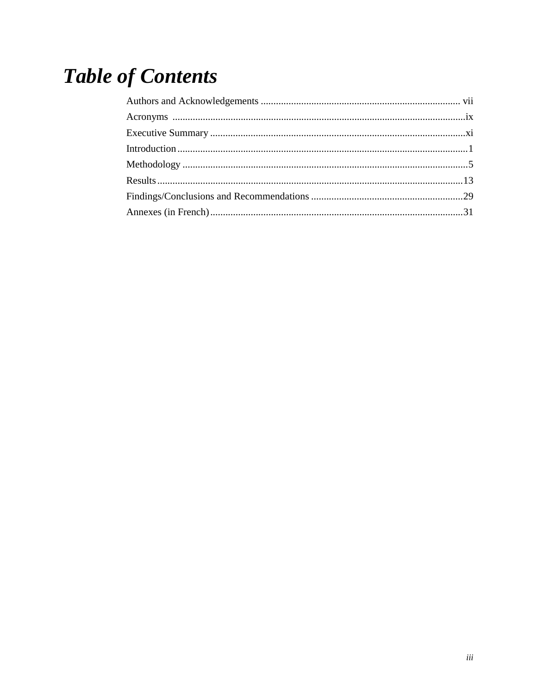# **Table of Contents**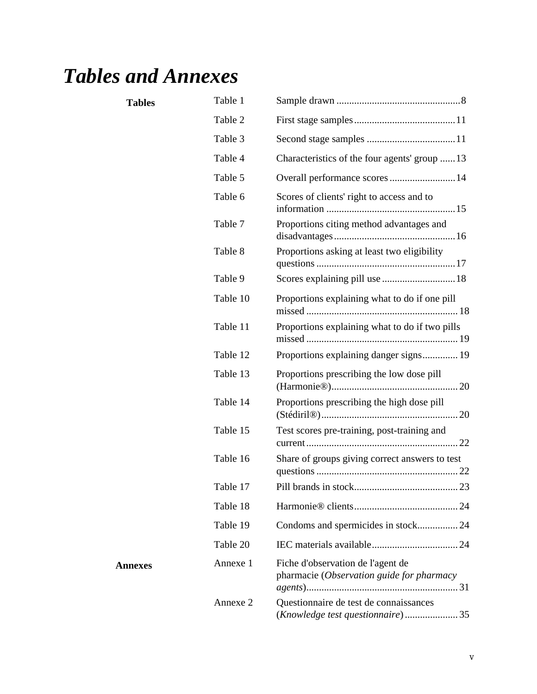## *Tables and Annexes*

Annexes

| <b>Tables</b> | Table 1  |                                                                                |
|---------------|----------|--------------------------------------------------------------------------------|
|               | Table 2  |                                                                                |
|               | Table 3  |                                                                                |
|               | Table 4  | Characteristics of the four agents' group 13                                   |
|               | Table 5  | Overall performance scores 14                                                  |
|               | Table 6  | Scores of clients' right to access and to                                      |
|               | Table 7  | Proportions citing method advantages and                                       |
|               | Table 8  | Proportions asking at least two eligibility                                    |
|               | Table 9  |                                                                                |
|               | Table 10 | Proportions explaining what to do if one pill                                  |
|               | Table 11 | Proportions explaining what to do if two pills                                 |
|               | Table 12 | Proportions explaining danger signs 19                                         |
|               | Table 13 | Proportions prescribing the low dose pill                                      |
|               | Table 14 | Proportions prescribing the high dose pill                                     |
|               | Table 15 | Test scores pre-training, post-training and                                    |
|               | Table 16 | Share of groups giving correct answers to test                                 |
|               | Table 17 |                                                                                |
|               | Table 18 |                                                                                |
|               | Table 19 | Condoms and spermicides in stock24                                             |
|               | Table 20 |                                                                                |
| mexes         | Annexe 1 | Fiche d'observation de l'agent de<br>pharmacie (Observation guide for pharmacy |
|               | Annexe 2 | Questionnaire de test de connaissances                                         |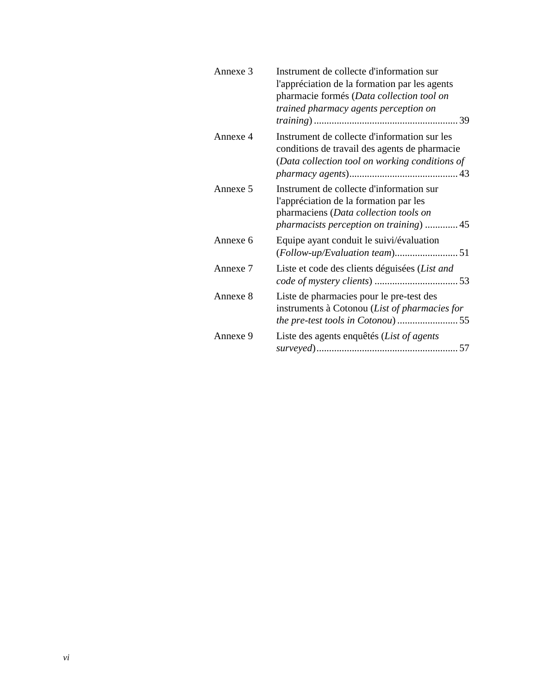| Annexe 3 | Instrument de collecte d'information sur<br>l'appréciation de la formation par les agents<br>pharmacie formés (Data collection tool on<br>trained pharmacy agents perception on |
|----------|---------------------------------------------------------------------------------------------------------------------------------------------------------------------------------|
| Annexe 4 | Instrument de collecte d'information sur les<br>conditions de travail des agents de pharmacie<br>(Data collection tool on working conditions of                                 |
| Annexe 5 | Instrument de collecte d'information sur<br>l'appréciation de la formation par les<br>pharmaciens (Data collection tools on<br>pharmacists perception on training)  45          |
| Annexe 6 | Equipe ayant conduit le suivi/évaluation                                                                                                                                        |
| Annexe 7 | Liste et code des clients déguisées (List and                                                                                                                                   |
| Annexe 8 | Liste de pharmacies pour le pre-test des<br>instruments à Cotonou (List of pharmacies for                                                                                       |
| Annexe 9 | Liste des agents enquêtés (List of agents                                                                                                                                       |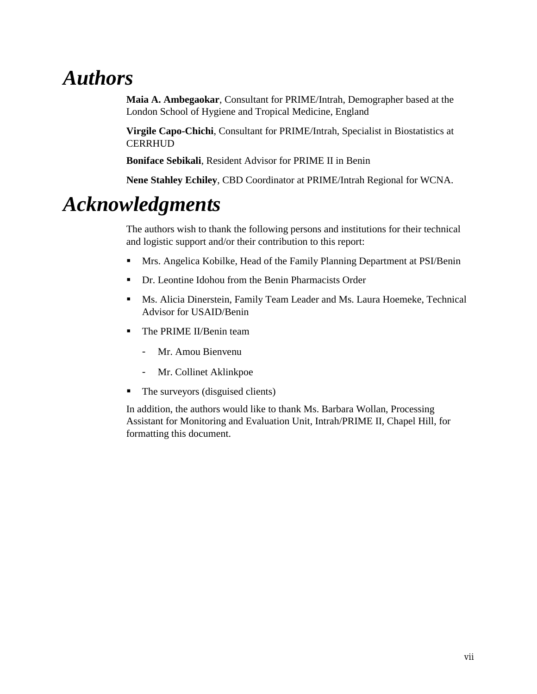## *Authors*

**Maia A. Ambegaokar**, Consultant for PRIME/Intrah, Demographer based at the London School of Hygiene and Tropical Medicine, England

**Virgile Capo-Chichi**, Consultant for PRIME/Intrah, Specialist in Biostatistics at **CERRHUD** 

**Boniface Sebikali**, Resident Advisor for PRIME II in Benin

**Nene Stahley Echiley**, CBD Coordinator at PRIME/Intrah Regional for WCNA.

## *Acknowledgments*

The authors wish to thank the following persons and institutions for their technical and logistic support and/or their contribution to this report:

- Mrs. Angelica Kobilke, Head of the Family Planning Department at PSI/Benin
- Dr. Leontine Idohou from the Benin Pharmacists Order
- Ms. Alicia Dinerstein, Family Team Leader and Ms. Laura Hoemeke, Technical Advisor for USAID/Benin
- The PRIME II/Benin team
	- Mr. Amou Bienvenu
	- Mr. Collinet Aklinkpoe
- The surveyors (disguised clients)

In addition, the authors would like to thank Ms. Barbara Wollan, Processing Assistant for Monitoring and Evaluation Unit, Intrah/PRIME II, Chapel Hill, for formatting this document.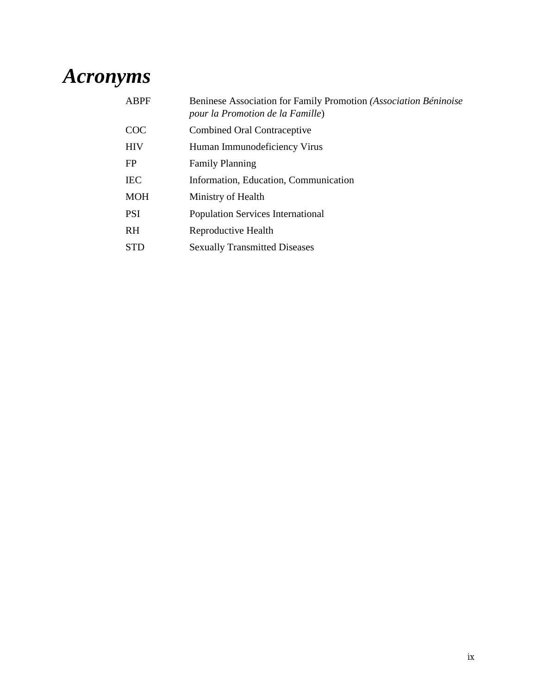## *Acronyms*

| Beninese Association for Family Promotion (Association Béninoise<br>pour la Promotion de la Famille) |
|------------------------------------------------------------------------------------------------------|
| Combined Oral Contraceptive                                                                          |
| Human Immunodeficiency Virus                                                                         |
| <b>Family Planning</b>                                                                               |
| Information, Education, Communication                                                                |
| Ministry of Health                                                                                   |
| Population Services International                                                                    |
| Reproductive Health                                                                                  |
| <b>Sexually Transmitted Diseases</b>                                                                 |
|                                                                                                      |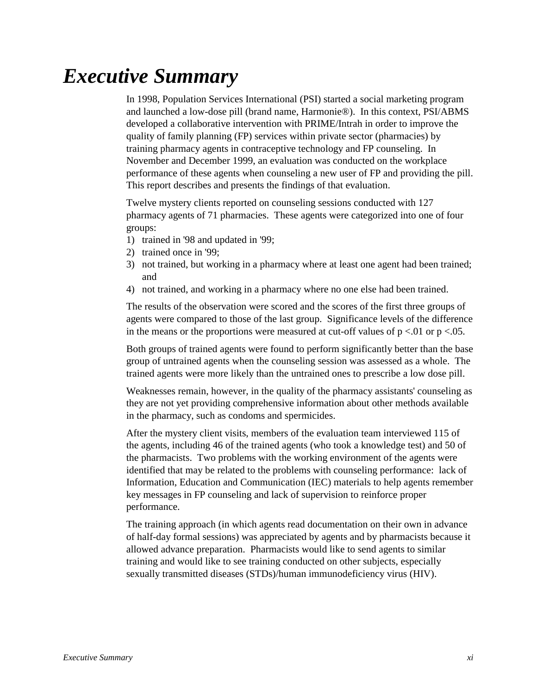## *Executive Summary*

In 1998, Population Services International (PSI) started a social marketing program and launched a low-dose pill (brand name, Harmonie®). In this context, PSI/ABMS developed a collaborative intervention with PRIME/Intrah in order to improve the quality of family planning (FP) services within private sector (pharmacies) by training pharmacy agents in contraceptive technology and FP counseling. In November and December 1999, an evaluation was conducted on the workplace performance of these agents when counseling a new user of FP and providing the pill. This report describes and presents the findings of that evaluation.

Twelve mystery clients reported on counseling sessions conducted with 127 pharmacy agents of 71 pharmacies. These agents were categorized into one of four groups:

- 1) trained in '98 and updated in '99;
- 2) trained once in '99;
- 3) not trained, but working in a pharmacy where at least one agent had been trained; and
- 4) not trained, and working in a pharmacy where no one else had been trained.

The results of the observation were scored and the scores of the first three groups of agents were compared to those of the last group. Significance levels of the difference in the means or the proportions were measured at cut-off values of  $p < 0.01$  or  $p < 0.05$ .

Both groups of trained agents were found to perform significantly better than the base group of untrained agents when the counseling session was assessed as a whole. The trained agents were more likely than the untrained ones to prescribe a low dose pill.

Weaknesses remain, however, in the quality of the pharmacy assistants' counseling as they are not yet providing comprehensive information about other methods available in the pharmacy, such as condoms and spermicides.

After the mystery client visits, members of the evaluation team interviewed 115 of the agents, including 46 of the trained agents (who took a knowledge test) and 50 of the pharmacists. Two problems with the working environment of the agents were identified that may be related to the problems with counseling performance: lack of Information, Education and Communication (IEC) materials to help agents remember key messages in FP counseling and lack of supervision to reinforce proper performance.

The training approach (in which agents read documentation on their own in advance of half-day formal sessions) was appreciated by agents and by pharmacists because it allowed advance preparation. Pharmacists would like to send agents to similar training and would like to see training conducted on other subjects, especially sexually transmitted diseases (STDs)/human immunodeficiency virus (HIV).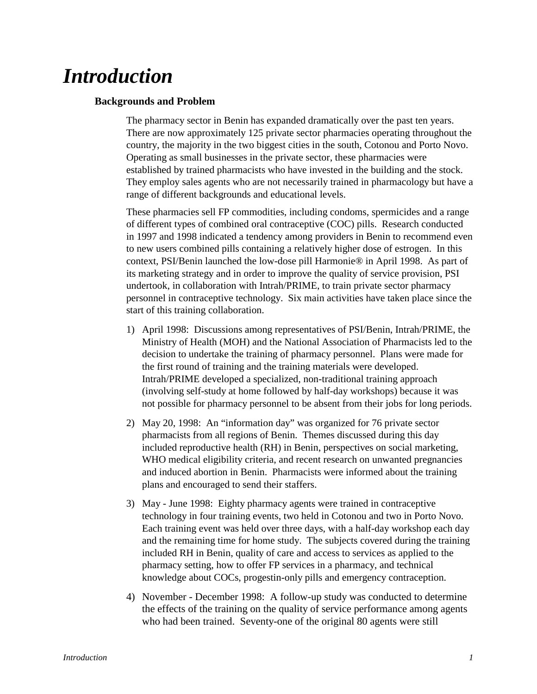## *Introduction*

#### **Backgrounds and Problem**

The pharmacy sector in Benin has expanded dramatically over the past ten years. There are now approximately 125 private sector pharmacies operating throughout the country, the majority in the two biggest cities in the south, Cotonou and Porto Novo. Operating as small businesses in the private sector, these pharmacies were established by trained pharmacists who have invested in the building and the stock. They employ sales agents who are not necessarily trained in pharmacology but have a range of different backgrounds and educational levels.

These pharmacies sell FP commodities, including condoms, spermicides and a range of different types of combined oral contraceptive (COC) pills. Research conducted in 1997 and 1998 indicated a tendency among providers in Benin to recommend even to new users combined pills containing a relatively higher dose of estrogen. In this context, PSI/Benin launched the low-dose pill Harmonie® in April 1998. As part of its marketing strategy and in order to improve the quality of service provision, PSI undertook, in collaboration with Intrah/PRIME, to train private sector pharmacy personnel in contraceptive technology. Six main activities have taken place since the start of this training collaboration.

- 1) April 1998: Discussions among representatives of PSI/Benin, Intrah/PRIME, the Ministry of Health (MOH) and the National Association of Pharmacists led to the decision to undertake the training of pharmacy personnel. Plans were made for the first round of training and the training materials were developed. Intrah/PRIME developed a specialized, non-traditional training approach (involving self-study at home followed by half-day workshops) because it was not possible for pharmacy personnel to be absent from their jobs for long periods.
- 2) May 20, 1998: An "information day" was organized for 76 private sector pharmacists from all regions of Benin. Themes discussed during this day included reproductive health (RH) in Benin, perspectives on social marketing, WHO medical eligibility criteria, and recent research on unwanted pregnancies and induced abortion in Benin. Pharmacists were informed about the training plans and encouraged to send their staffers.
- 3) May June 1998: Eighty pharmacy agents were trained in contraceptive technology in four training events, two held in Cotonou and two in Porto Novo. Each training event was held over three days, with a half-day workshop each day and the remaining time for home study. The subjects covered during the training included RH in Benin, quality of care and access to services as applied to the pharmacy setting, how to offer FP services in a pharmacy, and technical knowledge about COCs, progestin-only pills and emergency contraception.
- 4) November December 1998: A follow-up study was conducted to determine the effects of the training on the quality of service performance among agents who had been trained. Seventy-one of the original 80 agents were still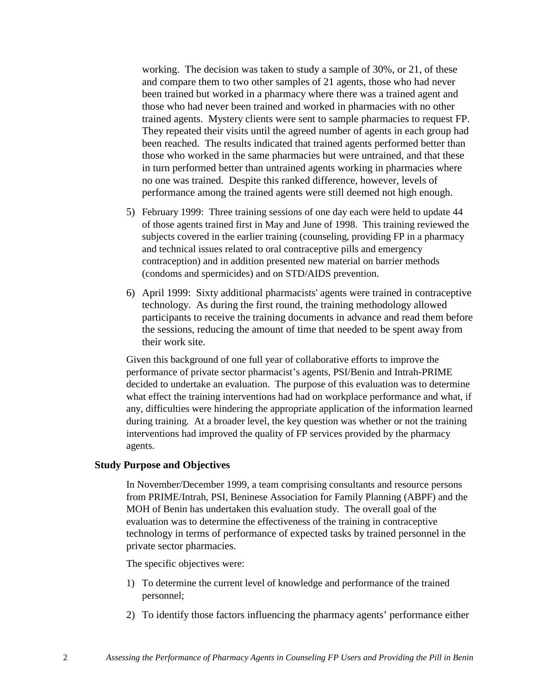working. The decision was taken to study a sample of 30%, or 21, of these and compare them to two other samples of 21 agents, those who had never been trained but worked in a pharmacy where there was a trained agent and those who had never been trained and worked in pharmacies with no other trained agents. Mystery clients were sent to sample pharmacies to request FP. They repeated their visits until the agreed number of agents in each group had been reached. The results indicated that trained agents performed better than those who worked in the same pharmacies but were untrained, and that these in turn performed better than untrained agents working in pharmacies where no one was trained. Despite this ranked difference, however, levels of performance among the trained agents were still deemed not high enough.

- 5) February 1999: Three training sessions of one day each were held to update 44 of those agents trained first in May and June of 1998. This training reviewed the subjects covered in the earlier training (counseling, providing FP in a pharmacy and technical issues related to oral contraceptive pills and emergency contraception) and in addition presented new material on barrier methods (condoms and spermicides) and on STD/AIDS prevention.
- 6) April 1999: Sixty additional pharmacists' agents were trained in contraceptive technology. As during the first round, the training methodology allowed participants to receive the training documents in advance and read them before the sessions, reducing the amount of time that needed to be spent away from their work site.

Given this background of one full year of collaborative efforts to improve the performance of private sector pharmacist's agents, PSI/Benin and Intrah-PRIME decided to undertake an evaluation. The purpose of this evaluation was to determine what effect the training interventions had had on workplace performance and what, if any, difficulties were hindering the appropriate application of the information learned during training. At a broader level, the key question was whether or not the training interventions had improved the quality of FP services provided by the pharmacy agents.

#### **Study Purpose and Objectives**

In November/December 1999, a team comprising consultants and resource persons from PRIME/Intrah, PSI, Beninese Association for Family Planning (ABPF) and the MOH of Benin has undertaken this evaluation study. The overall goal of the evaluation was to determine the effectiveness of the training in contraceptive technology in terms of performance of expected tasks by trained personnel in the private sector pharmacies.

The specific objectives were:

- 1) To determine the current level of knowledge and performance of the trained personnel;
- 2) To identify those factors influencing the pharmacy agents' performance either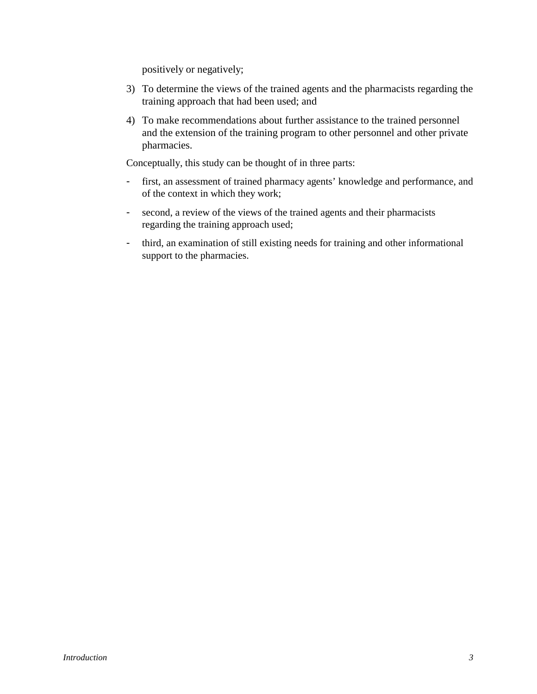positively or negatively;

- 3) To determine the views of the trained agents and the pharmacists regarding the training approach that had been used; and
- 4) To make recommendations about further assistance to the trained personnel and the extension of the training program to other personnel and other private pharmacies.

Conceptually, this study can be thought of in three parts:

- first, an assessment of trained pharmacy agents' knowledge and performance, and of the context in which they work;
- second, a review of the views of the trained agents and their pharmacists regarding the training approach used;
- third, an examination of still existing needs for training and other informational support to the pharmacies.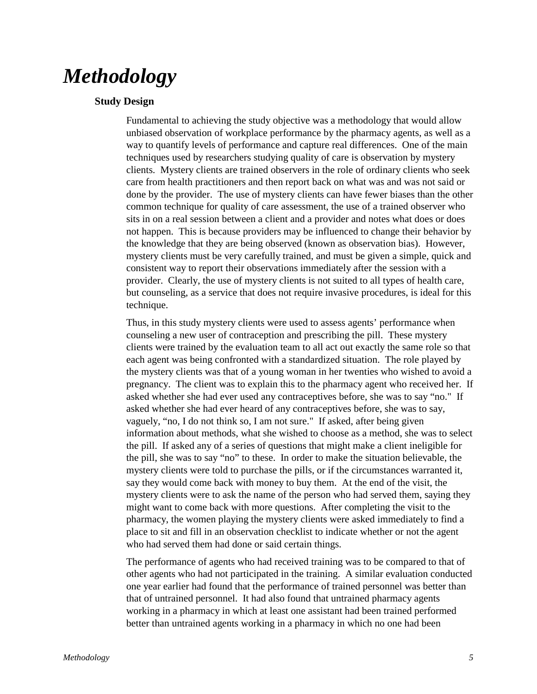## *Methodology*

#### **Study Design**

Fundamental to achieving the study objective was a methodology that would allow unbiased observation of workplace performance by the pharmacy agents, as well as a way to quantify levels of performance and capture real differences. One of the main techniques used by researchers studying quality of care is observation by mystery clients. Mystery clients are trained observers in the role of ordinary clients who seek care from health practitioners and then report back on what was and was not said or done by the provider. The use of mystery clients can have fewer biases than the other common technique for quality of care assessment, the use of a trained observer who sits in on a real session between a client and a provider and notes what does or does not happen. This is because providers may be influenced to change their behavior by the knowledge that they are being observed (known as observation bias). However, mystery clients must be very carefully trained, and must be given a simple, quick and consistent way to report their observations immediately after the session with a provider. Clearly, the use of mystery clients is not suited to all types of health care, but counseling, as a service that does not require invasive procedures, is ideal for this technique.

Thus, in this study mystery clients were used to assess agents' performance when counseling a new user of contraception and prescribing the pill. These mystery clients were trained by the evaluation team to all act out exactly the same role so that each agent was being confronted with a standardized situation. The role played by the mystery clients was that of a young woman in her twenties who wished to avoid a pregnancy. The client was to explain this to the pharmacy agent who received her. If asked whether she had ever used any contraceptives before, she was to say "no." If asked whether she had ever heard of any contraceptives before, she was to say, vaguely, "no, I do not think so, I am not sure." If asked, after being given information about methods, what she wished to choose as a method, she was to select the pill. If asked any of a series of questions that might make a client ineligible for the pill, she was to say "no" to these. In order to make the situation believable, the mystery clients were told to purchase the pills, or if the circumstances warranted it, say they would come back with money to buy them. At the end of the visit, the mystery clients were to ask the name of the person who had served them, saying they might want to come back with more questions. After completing the visit to the pharmacy, the women playing the mystery clients were asked immediately to find a place to sit and fill in an observation checklist to indicate whether or not the agent who had served them had done or said certain things.

The performance of agents who had received training was to be compared to that of other agents who had not participated in the training. A similar evaluation conducted one year earlier had found that the performance of trained personnel was better than that of untrained personnel. It had also found that untrained pharmacy agents working in a pharmacy in which at least one assistant had been trained performed better than untrained agents working in a pharmacy in which no one had been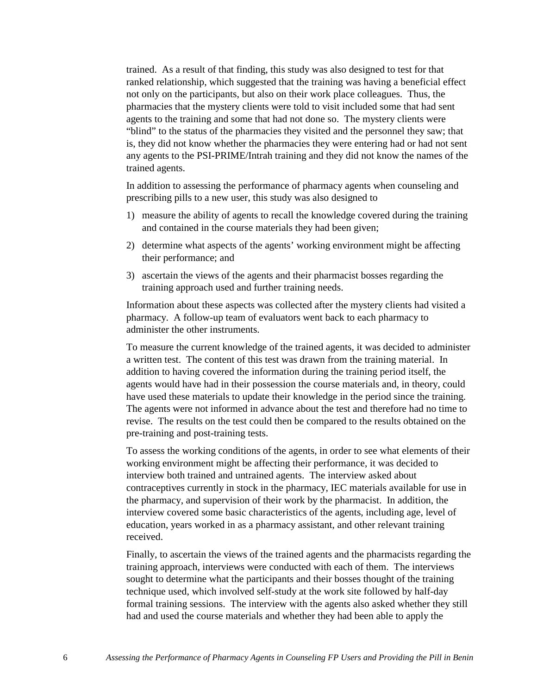trained. As a result of that finding, this study was also designed to test for that ranked relationship, which suggested that the training was having a beneficial effect not only on the participants, but also on their work place colleagues. Thus, the pharmacies that the mystery clients were told to visit included some that had sent agents to the training and some that had not done so. The mystery clients were "blind" to the status of the pharmacies they visited and the personnel they saw; that is, they did not know whether the pharmacies they were entering had or had not sent any agents to the PSI-PRIME/Intrah training and they did not know the names of the trained agents.

In addition to assessing the performance of pharmacy agents when counseling and prescribing pills to a new user, this study was also designed to

- 1) measure the ability of agents to recall the knowledge covered during the training and contained in the course materials they had been given;
- 2) determine what aspects of the agents' working environment might be affecting their performance; and
- 3) ascertain the views of the agents and their pharmacist bosses regarding the training approach used and further training needs.

Information about these aspects was collected after the mystery clients had visited a pharmacy. A follow-up team of evaluators went back to each pharmacy to administer the other instruments.

To measure the current knowledge of the trained agents, it was decided to administer a written test. The content of this test was drawn from the training material. In addition to having covered the information during the training period itself, the agents would have had in their possession the course materials and, in theory, could have used these materials to update their knowledge in the period since the training. The agents were not informed in advance about the test and therefore had no time to revise. The results on the test could then be compared to the results obtained on the pre-training and post-training tests.

To assess the working conditions of the agents, in order to see what elements of their working environment might be affecting their performance, it was decided to interview both trained and untrained agents. The interview asked about contraceptives currently in stock in the pharmacy, IEC materials available for use in the pharmacy, and supervision of their work by the pharmacist. In addition, the interview covered some basic characteristics of the agents, including age, level of education, years worked in as a pharmacy assistant, and other relevant training received.

Finally, to ascertain the views of the trained agents and the pharmacists regarding the training approach, interviews were conducted with each of them. The interviews sought to determine what the participants and their bosses thought of the training technique used, which involved self-study at the work site followed by half-day formal training sessions. The interview with the agents also asked whether they still had and used the course materials and whether they had been able to apply the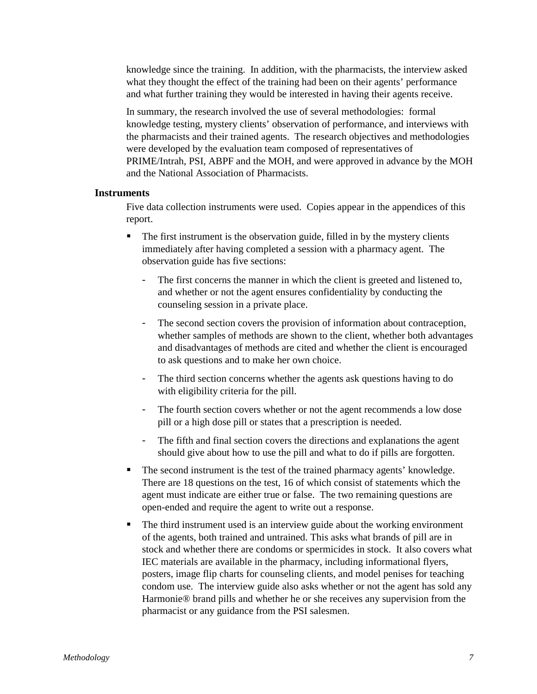knowledge since the training. In addition, with the pharmacists, the interview asked what they thought the effect of the training had been on their agents' performance and what further training they would be interested in having their agents receive.

In summary, the research involved the use of several methodologies: formal knowledge testing, mystery clients' observation of performance, and interviews with the pharmacists and their trained agents. The research objectives and methodologies were developed by the evaluation team composed of representatives of PRIME/Intrah, PSI, ABPF and the MOH, and were approved in advance by the MOH and the National Association of Pharmacists.

#### **Instruments**

Five data collection instruments were used. Copies appear in the appendices of this report.

- The first instrument is the observation guide, filled in by the mystery clients immediately after having completed a session with a pharmacy agent. The observation guide has five sections:
	- The first concerns the manner in which the client is greeted and listened to, and whether or not the agent ensures confidentiality by conducting the counseling session in a private place.
	- The second section covers the provision of information about contraception, whether samples of methods are shown to the client, whether both advantages and disadvantages of methods are cited and whether the client is encouraged to ask questions and to make her own choice.
	- The third section concerns whether the agents ask questions having to do with eligibility criteria for the pill.
	- The fourth section covers whether or not the agent recommends a low dose pill or a high dose pill or states that a prescription is needed.
	- The fifth and final section covers the directions and explanations the agent should give about how to use the pill and what to do if pills are forgotten.
- The second instrument is the test of the trained pharmacy agents' knowledge. There are 18 questions on the test, 16 of which consist of statements which the agent must indicate are either true or false. The two remaining questions are open-ended and require the agent to write out a response.
- The third instrument used is an interview guide about the working environment of the agents, both trained and untrained. This asks what brands of pill are in stock and whether there are condoms or spermicides in stock. It also covers what IEC materials are available in the pharmacy, including informational flyers, posters, image flip charts for counseling clients, and model penises for teaching condom use. The interview guide also asks whether or not the agent has sold any Harmonie® brand pills and whether he or she receives any supervision from the pharmacist or any guidance from the PSI salesmen.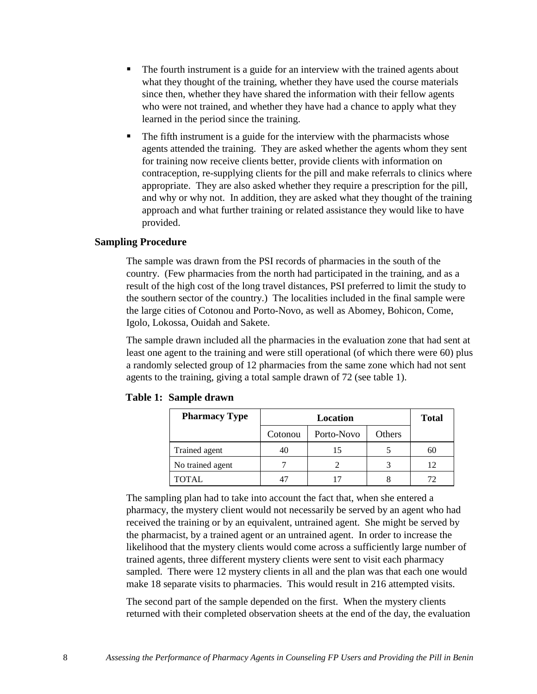- The fourth instrument is a guide for an interview with the trained agents about what they thought of the training, whether they have used the course materials since then, whether they have shared the information with their fellow agents who were not trained, and whether they have had a chance to apply what they learned in the period since the training.
- The fifth instrument is a guide for the interview with the pharmacists whose agents attended the training. They are asked whether the agents whom they sent for training now receive clients better, provide clients with information on contraception, re-supplying clients for the pill and make referrals to clinics where appropriate. They are also asked whether they require a prescription for the pill, and why or why not. In addition, they are asked what they thought of the training approach and what further training or related assistance they would like to have provided.

#### **Sampling Procedure**

The sample was drawn from the PSI records of pharmacies in the south of the country. (Few pharmacies from the north had participated in the training, and as a result of the high cost of the long travel distances, PSI preferred to limit the study to the southern sector of the country.) The localities included in the final sample were the large cities of Cotonou and Porto-Novo, as well as Abomey, Bohicon, Come, Igolo, Lokossa, Ouidah and Sakete.

The sample drawn included all the pharmacies in the evaluation zone that had sent at least one agent to the training and were still operational (of which there were 60) plus a randomly selected group of 12 pharmacies from the same zone which had not sent agents to the training, giving a total sample drawn of 72 (see table 1).

| <b>Pharmacy Type</b> | Location |            |        | <b>Total</b> |
|----------------------|----------|------------|--------|--------------|
|                      | Cotonou  | Porto-Novo | Others |              |
| Trained agent        | 40       | 15         |        | 60           |
| No trained agent     |          |            |        |              |
| TOTAL.               |          |            |        | 72           |

#### **Table 1: Sample drawn**

The sampling plan had to take into account the fact that, when she entered a pharmacy, the mystery client would not necessarily be served by an agent who had received the training or by an equivalent, untrained agent. She might be served by the pharmacist, by a trained agent or an untrained agent. In order to increase the likelihood that the mystery clients would come across a sufficiently large number of trained agents, three different mystery clients were sent to visit each pharmacy sampled. There were 12 mystery clients in all and the plan was that each one would make 18 separate visits to pharmacies. This would result in 216 attempted visits.

The second part of the sample depended on the first. When the mystery clients returned with their completed observation sheets at the end of the day, the evaluation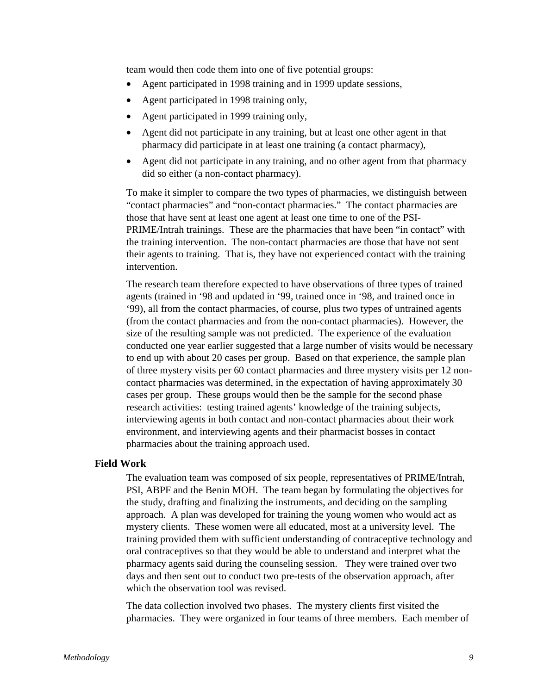team would then code them into one of five potential groups:

- Agent participated in 1998 training and in 1999 update sessions,
- Agent participated in 1998 training only,
- Agent participated in 1999 training only,
- Agent did not participate in any training, but at least one other agent in that pharmacy did participate in at least one training (a contact pharmacy),
- Agent did not participate in any training, and no other agent from that pharmacy did so either (a non-contact pharmacy).

To make it simpler to compare the two types of pharmacies, we distinguish between "contact pharmacies" and "non-contact pharmacies." The contact pharmacies are those that have sent at least one agent at least one time to one of the PSI-PRIME/Intrah trainings. These are the pharmacies that have been "in contact" with the training intervention. The non-contact pharmacies are those that have not sent their agents to training. That is, they have not experienced contact with the training intervention.

The research team therefore expected to have observations of three types of trained agents (trained in '98 and updated in '99, trained once in '98, and trained once in '99), all from the contact pharmacies, of course, plus two types of untrained agents (from the contact pharmacies and from the non-contact pharmacies). However, the size of the resulting sample was not predicted. The experience of the evaluation conducted one year earlier suggested that a large number of visits would be necessary to end up with about 20 cases per group. Based on that experience, the sample plan of three mystery visits per 60 contact pharmacies and three mystery visits per 12 noncontact pharmacies was determined, in the expectation of having approximately 30 cases per group. These groups would then be the sample for the second phase research activities: testing trained agents' knowledge of the training subjects, interviewing agents in both contact and non-contact pharmacies about their work environment, and interviewing agents and their pharmacist bosses in contact pharmacies about the training approach used.

#### **Field Work**

The evaluation team was composed of six people, representatives of PRIME/Intrah, PSI, ABPF and the Benin MOH. The team began by formulating the objectives for the study, drafting and finalizing the instruments, and deciding on the sampling approach. A plan was developed for training the young women who would act as mystery clients. These women were all educated, most at a university level. The training provided them with sufficient understanding of contraceptive technology and oral contraceptives so that they would be able to understand and interpret what the pharmacy agents said during the counseling session. They were trained over two days and then sent out to conduct two pre-tests of the observation approach, after which the observation tool was revised.

The data collection involved two phases. The mystery clients first visited the pharmacies. They were organized in four teams of three members. Each member of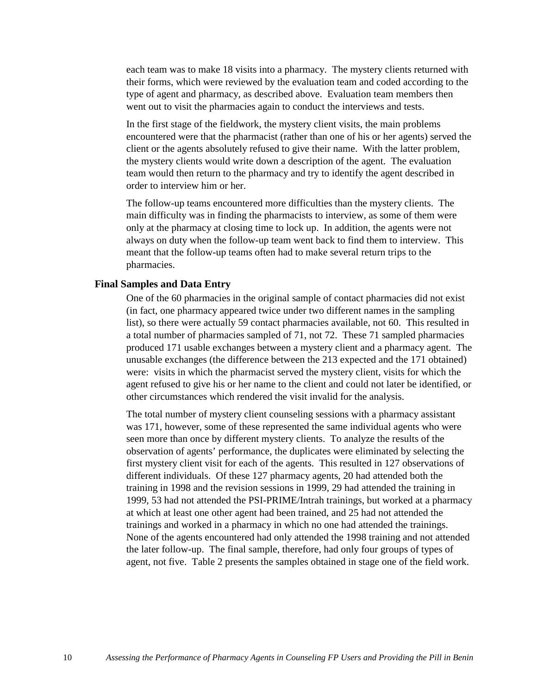each team was to make 18 visits into a pharmacy. The mystery clients returned with their forms, which were reviewed by the evaluation team and coded according to the type of agent and pharmacy, as described above. Evaluation team members then went out to visit the pharmacies again to conduct the interviews and tests.

In the first stage of the fieldwork, the mystery client visits, the main problems encountered were that the pharmacist (rather than one of his or her agents) served the client or the agents absolutely refused to give their name. With the latter problem, the mystery clients would write down a description of the agent. The evaluation team would then return to the pharmacy and try to identify the agent described in order to interview him or her.

The follow-up teams encountered more difficulties than the mystery clients. The main difficulty was in finding the pharmacists to interview, as some of them were only at the pharmacy at closing time to lock up. In addition, the agents were not always on duty when the follow-up team went back to find them to interview. This meant that the follow-up teams often had to make several return trips to the pharmacies.

#### **Final Samples and Data Entry**

One of the 60 pharmacies in the original sample of contact pharmacies did not exist (in fact, one pharmacy appeared twice under two different names in the sampling list), so there were actually 59 contact pharmacies available, not 60. This resulted in a total number of pharmacies sampled of 71, not 72. These 71 sampled pharmacies produced 171 usable exchanges between a mystery client and a pharmacy agent. The unusable exchanges (the difference between the 213 expected and the 171 obtained) were: visits in which the pharmacist served the mystery client, visits for which the agent refused to give his or her name to the client and could not later be identified, or other circumstances which rendered the visit invalid for the analysis.

The total number of mystery client counseling sessions with a pharmacy assistant was 171, however, some of these represented the same individual agents who were seen more than once by different mystery clients. To analyze the results of the observation of agents' performance, the duplicates were eliminated by selecting the first mystery client visit for each of the agents. This resulted in 127 observations of different individuals. Of these 127 pharmacy agents, 20 had attended both the training in 1998 and the revision sessions in 1999, 29 had attended the training in 1999, 53 had not attended the PSI-PRIME/Intrah trainings, but worked at a pharmacy at which at least one other agent had been trained, and 25 had not attended the trainings and worked in a pharmacy in which no one had attended the trainings. None of the agents encountered had only attended the 1998 training and not attended the later follow-up. The final sample, therefore, had only four groups of types of agent, not five. Table 2 presents the samples obtained in stage one of the field work.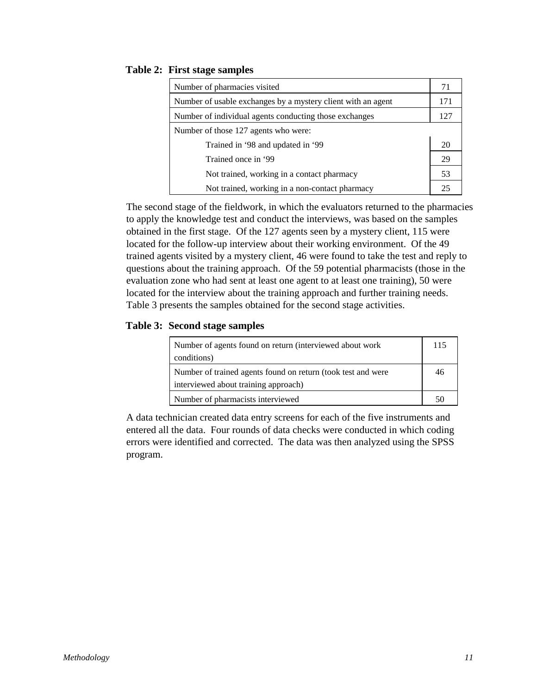#### **Table 2: First stage samples**

| Number of pharmacies visited                                 | 71  |
|--------------------------------------------------------------|-----|
|                                                              |     |
| Number of usable exchanges by a mystery client with an agent | 171 |
| Number of individual agents conducting those exchanges       | 127 |
| Number of those 127 agents who were:                         |     |
| Trained in '98 and updated in '99                            | 20  |
| Trained once in '99                                          | 29  |
| Not trained, working in a contact pharmacy                   | 53  |
| Not trained, working in a non-contact pharmacy               | 25  |

The second stage of the fieldwork, in which the evaluators returned to the pharmacies to apply the knowledge test and conduct the interviews, was based on the samples obtained in the first stage. Of the 127 agents seen by a mystery client, 115 were located for the follow-up interview about their working environment. Of the 49 trained agents visited by a mystery client, 46 were found to take the test and reply to questions about the training approach. Of the 59 potential pharmacists (those in the evaluation zone who had sent at least one agent to at least one training), 50 were located for the interview about the training approach and further training needs. Table 3 presents the samples obtained for the second stage activities.

#### **Table 3: Second stage samples**

| Number of agents found on return (interviewed about work<br>conditions) | 115 |
|-------------------------------------------------------------------------|-----|
| Number of trained agents found on return (took test and were            | 46  |
| interviewed about training approach)                                    |     |
| Number of pharmacists interviewed                                       | 50  |

A data technician created data entry screens for each of the five instruments and entered all the data. Four rounds of data checks were conducted in which coding errors were identified and corrected. The data was then analyzed using the SPSS program.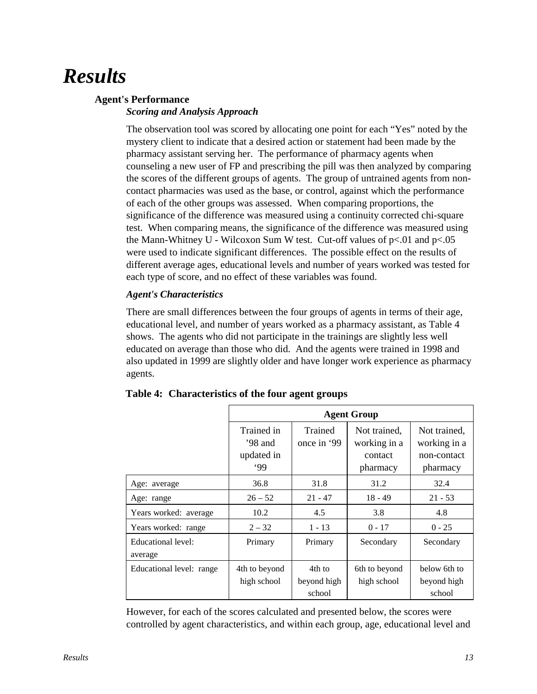## *Results*

#### **Agent's Performance**

#### *Scoring and Analysis Approach*

The observation tool was scored by allocating one point for each "Yes" noted by the mystery client to indicate that a desired action or statement had been made by the pharmacy assistant serving her. The performance of pharmacy agents when counseling a new user of FP and prescribing the pill was then analyzed by comparing the scores of the different groups of agents. The group of untrained agents from noncontact pharmacies was used as the base, or control, against which the performance of each of the other groups was assessed. When comparing proportions, the significance of the difference was measured using a continuity corrected chi-square test. When comparing means, the significance of the difference was measured using the Mann-Whitney U - Wilcoxon Sum W test. Cut-off values of  $p<0.01$  and  $p<0.05$ were used to indicate significant differences. The possible effect on the results of different average ages, educational levels and number of years worked was tested for each type of score, and no effect of these variables was found.

#### *Agent's Characteristics*

There are small differences between the four groups of agents in terms of their age, educational level, and number of years worked as a pharmacy assistant, as Table 4 shows. The agents who did not participate in the trainings are slightly less well educated on average than those who did. And the agents were trained in 1998 and also updated in 1999 are slightly older and have longer work experience as pharmacy agents.

|                               | <b>Agent Group</b>                         |                                 |                                                     |                                                         |
|-------------------------------|--------------------------------------------|---------------------------------|-----------------------------------------------------|---------------------------------------------------------|
|                               | Trained in<br>'98 and<br>updated in<br>.99 | Trained<br>once in '99          | Not trained,<br>working in a<br>contact<br>pharmacy | Not trained,<br>working in a<br>non-contact<br>pharmacy |
| Age: average                  | 36.8                                       | 31.8                            | 31.2                                                | 32.4                                                    |
| Age: range                    | $26 - 52$                                  | $21 - 47$                       | $18 - 49$                                           | $21 - 53$                                               |
| Years worked: average         | 10.2                                       | 4.5                             | 3.8                                                 | 4.8                                                     |
| Years worked: range           | $2 - 32$                                   | $1 - 13$                        | $0 - 17$                                            | $0 - 25$                                                |
| Educational level:<br>average | Primary                                    | Primary                         | Secondary                                           | Secondary                                               |
| Educational level: range      | 4th to beyond<br>high school               | 4th to<br>beyond high<br>school | 6th to beyond<br>high school                        | below 6th to<br>beyond high<br>school                   |

#### **Table 4: Characteristics of the four agent groups**

 $\Gamma$ 

However, for each of the scores calculated and presented below, the scores were controlled by agent characteristics, and within each group, age, educational level and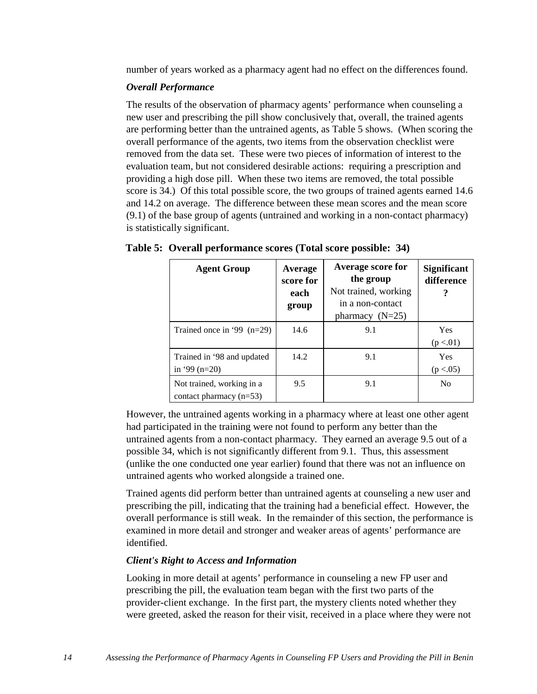number of years worked as a pharmacy agent had no effect on the differences found.

#### *Overall Performance*

The results of the observation of pharmacy agents' performance when counseling a new user and prescribing the pill show conclusively that, overall, the trained agents are performing better than the untrained agents, as Table 5 shows. (When scoring the overall performance of the agents, two items from the observation checklist were removed from the data set. These were two pieces of information of interest to the evaluation team, but not considered desirable actions: requiring a prescription and providing a high dose pill. When these two items are removed, the total possible score is 34.) Of this total possible score, the two groups of trained agents earned 14.6 and 14.2 on average. The difference between these mean scores and the mean score (9.1) of the base group of agents (untrained and working in a non-contact pharmacy) is statistically significant.

| <b>Agent Group</b>                                     | Average<br>score for<br>each<br>group | <b>Average score for</b><br>the group<br>Not trained, working<br>in a non-contact<br>pharmacy $(N=25)$ | <b>Significant</b><br>difference |
|--------------------------------------------------------|---------------------------------------|--------------------------------------------------------------------------------------------------------|----------------------------------|
| Trained once in '99 $(n=29)$                           | 14.6                                  | 9.1                                                                                                    | Yes<br>(p < .01)                 |
| Trained in '98 and updated<br>in '99 $(n=20)$          | 14.2                                  | 9.1                                                                                                    | <b>Yes</b><br>(p < .05)          |
| Not trained, working in a<br>contact pharmacy $(n=53)$ | 9.5                                   | 9.1                                                                                                    | No                               |

#### **Table 5: Overall performance scores (Total score possible: 34)**

However, the untrained agents working in a pharmacy where at least one other agent had participated in the training were not found to perform any better than the untrained agents from a non-contact pharmacy. They earned an average 9.5 out of a possible 34, which is not significantly different from 9.1. Thus, this assessment (unlike the one conducted one year earlier) found that there was not an influence on untrained agents who worked alongside a trained one.

Trained agents did perform better than untrained agents at counseling a new user and prescribing the pill, indicating that the training had a beneficial effect. However, the overall performance is still weak. In the remainder of this section, the performance is examined in more detail and stronger and weaker areas of agents' performance are identified.

#### *Client's Right to Access and Information*

Looking in more detail at agents' performance in counseling a new FP user and prescribing the pill, the evaluation team began with the first two parts of the provider-client exchange. In the first part, the mystery clients noted whether they were greeted, asked the reason for their visit, received in a place where they were not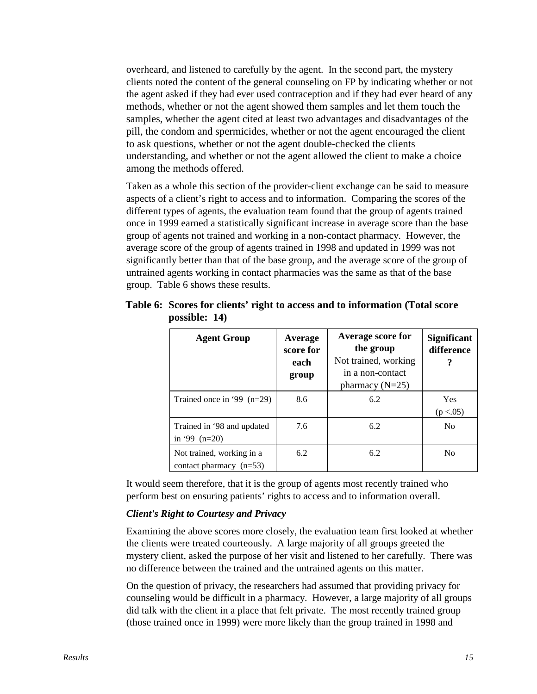overheard, and listened to carefully by the agent. In the second part, the mystery clients noted the content of the general counseling on FP by indicating whether or not the agent asked if they had ever used contraception and if they had ever heard of any methods, whether or not the agent showed them samples and let them touch the samples, whether the agent cited at least two advantages and disadvantages of the pill, the condom and spermicides, whether or not the agent encouraged the client to ask questions, whether or not the agent double-checked the clients understanding, and whether or not the agent allowed the client to make a choice among the methods offered.

Taken as a whole this section of the provider-client exchange can be said to measure aspects of a client's right to access and to information. Comparing the scores of the different types of agents, the evaluation team found that the group of agents trained once in 1999 earned a statistically significant increase in average score than the base group of agents not trained and working in a non-contact pharmacy. However, the average score of the group of agents trained in 1998 and updated in 1999 was not significantly better than that of the base group, and the average score of the group of untrained agents working in contact pharmacies was the same as that of the base group. Table 6 shows these results.

| <b>Agent Group</b>                                     | Average<br>score for<br>each<br>group | Average score for<br>the group<br>Not trained, working<br>in a non-contact<br>pharmacy $(N=25)$ | <b>Significant</b><br>difference<br>? |
|--------------------------------------------------------|---------------------------------------|-------------------------------------------------------------------------------------------------|---------------------------------------|
| Trained once in '99 $(n=29)$                           | 8.6                                   | 6.2                                                                                             | <b>Yes</b><br>(p < .05)               |
| Trained in '98 and updated<br>in '99 $(n=20)$          | 7.6                                   | 6.2                                                                                             | N <sub>0</sub>                        |
| Not trained, working in a<br>contact pharmacy $(n=53)$ | 6.2                                   | 6.2                                                                                             | N <sub>0</sub>                        |

**Table 6: Scores for clients' right to access and to information (Total score possible: 14)**

It would seem therefore, that it is the group of agents most recently trained who perform best on ensuring patients' rights to access and to information overall.

#### *Client's Right to Courtesy and Privacy*

Examining the above scores more closely, the evaluation team first looked at whether the clients were treated courteously. A large majority of all groups greeted the mystery client, asked the purpose of her visit and listened to her carefully. There was no difference between the trained and the untrained agents on this matter.

On the question of privacy, the researchers had assumed that providing privacy for counseling would be difficult in a pharmacy. However, a large majority of all groups did talk with the client in a place that felt private. The most recently trained group (those trained once in 1999) were more likely than the group trained in 1998 and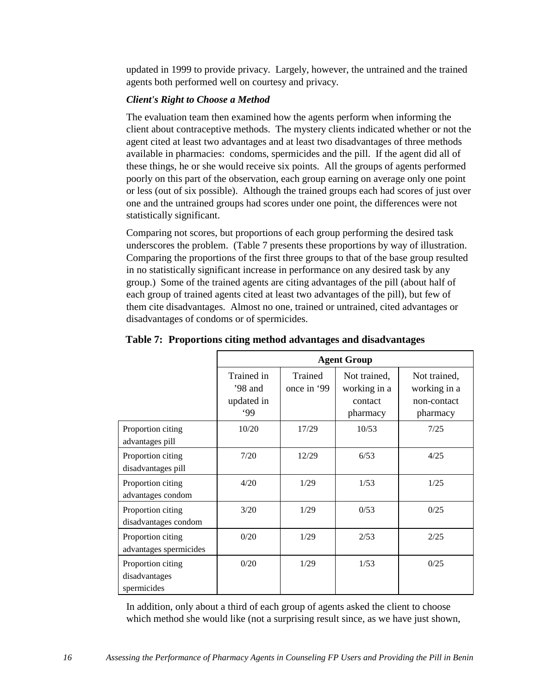updated in 1999 to provide privacy. Largely, however, the untrained and the trained agents both performed well on courtesy and privacy.

#### *Client's Right to Choose a Method*

The evaluation team then examined how the agents perform when informing the client about contraceptive methods. The mystery clients indicated whether or not the agent cited at least two advantages and at least two disadvantages of three methods available in pharmacies: condoms, spermicides and the pill. If the agent did all of these things, he or she would receive six points. All the groups of agents performed poorly on this part of the observation, each group earning on average only one point or less (out of six possible). Although the trained groups each had scores of just over one and the untrained groups had scores under one point, the differences were not statistically significant.

Comparing not scores, but proportions of each group performing the desired task underscores the problem. (Table 7 presents these proportions by way of illustration. Comparing the proportions of the first three groups to that of the base group resulted in no statistically significant increase in performance on any desired task by any group.) Some of the trained agents are citing advantages of the pill (about half of each group of trained agents cited at least two advantages of the pill), but few of them cite disadvantages. Almost no one, trained or untrained, cited advantages or disadvantages of condoms or of spermicides.

|                                                   |                                              | <b>Agent Group</b>     |                                                     |                                                         |
|---------------------------------------------------|----------------------------------------------|------------------------|-----------------------------------------------------|---------------------------------------------------------|
|                                                   | Trained in<br>$'98$ and<br>updated in<br>.99 | Trained<br>once in '99 | Not trained,<br>working in a<br>contact<br>pharmacy | Not trained,<br>working in a<br>non-contact<br>pharmacy |
| Proportion citing<br>advantages pill              | 10/20                                        | 17/29                  | 10/53                                               | 7/25                                                    |
| Proportion citing<br>disadvantages pill           | 7/20                                         | 12/29                  | 6/53                                                | 4/25                                                    |
| Proportion citing<br>advantages condom            | 4/20                                         | 1/29                   | 1/53                                                | 1/25                                                    |
| Proportion citing<br>disadvantages condom         | 3/20                                         | 1/29                   | 0/53                                                | 0/25                                                    |
| Proportion citing<br>advantages spermicides       | 0/20                                         | 1/29                   | 2/53                                                | 2/25                                                    |
| Proportion citing<br>disadvantages<br>spermicides | 0/20                                         | 1/29                   | 1/53                                                | 0/25                                                    |

**Table 7: Proportions citing method advantages and disadvantages**

In addition, only about a third of each group of agents asked the client to choose which method she would like (not a surprising result since, as we have just shown,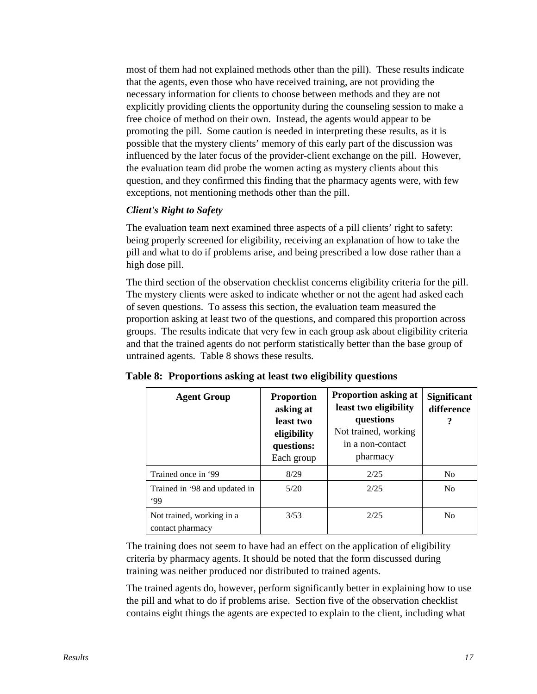most of them had not explained methods other than the pill). These results indicate that the agents, even those who have received training, are not providing the necessary information for clients to choose between methods and they are not explicitly providing clients the opportunity during the counseling session to make a free choice of method on their own. Instead, the agents would appear to be promoting the pill. Some caution is needed in interpreting these results, as it is possible that the mystery clients' memory of this early part of the discussion was influenced by the later focus of the provider-client exchange on the pill. However, the evaluation team did probe the women acting as mystery clients about this question, and they confirmed this finding that the pharmacy agents were, with few exceptions, not mentioning methods other than the pill.

#### *Client's Right to Safety*

The evaluation team next examined three aspects of a pill clients' right to safety: being properly screened for eligibility, receiving an explanation of how to take the pill and what to do if problems arise, and being prescribed a low dose rather than a high dose pill.

The third section of the observation checklist concerns eligibility criteria for the pill. The mystery clients were asked to indicate whether or not the agent had asked each of seven questions. To assess this section, the evaluation team measured the proportion asking at least two of the questions, and compared this proportion across groups. The results indicate that very few in each group ask about eligibility criteria and that the trained agents do not perform statistically better than the base group of untrained agents. Table 8 shows these results.

| <b>Agent Group</b>                            | <b>Proportion</b><br>asking at<br>least two<br>eligibility<br>questions:<br>Each group | <b>Proportion asking at</b><br>least two eligibility<br>questions<br>Not trained, working<br>in a non-contact<br>pharmacy | <b>Significant</b><br>difference<br>? |
|-----------------------------------------------|----------------------------------------------------------------------------------------|---------------------------------------------------------------------------------------------------------------------------|---------------------------------------|
| Trained once in '99                           | 8/29                                                                                   | 2/25                                                                                                                      | N <sub>0</sub>                        |
| Trained in '98 and updated in<br>.99          | 5/20                                                                                   | 2/25                                                                                                                      | N <sub>0</sub>                        |
| Not trained, working in a<br>contact pharmacy | 3/53                                                                                   | 2/25                                                                                                                      | N <sub>0</sub>                        |

**Table 8: Proportions asking at least two eligibility questions**

The training does not seem to have had an effect on the application of eligibility criteria by pharmacy agents. It should be noted that the form discussed during training was neither produced nor distributed to trained agents.

The trained agents do, however, perform significantly better in explaining how to use the pill and what to do if problems arise. Section five of the observation checklist contains eight things the agents are expected to explain to the client, including what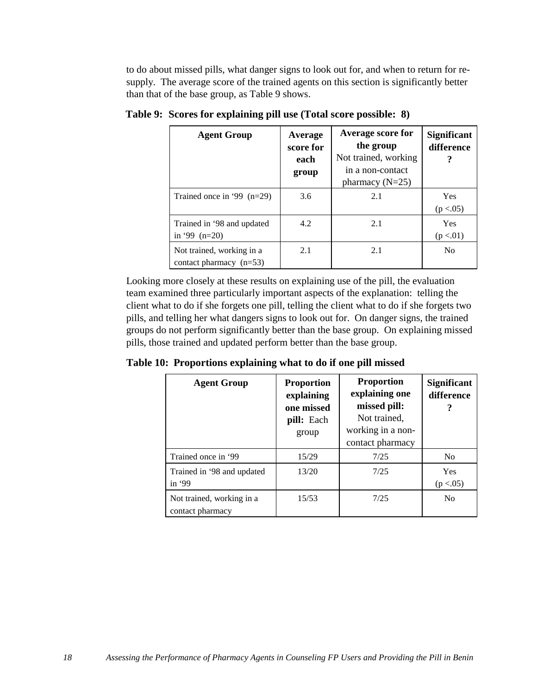to do about missed pills, what danger signs to look out for, and when to return for resupply. The average score of the trained agents on this section is significantly better than that of the base group, as Table 9 shows.

| <b>Agent Group</b>                                     | Average<br>score for<br>each<br>group | Average score for<br>the group<br>Not trained, working<br>in a non-contact<br>pharmacy $(N=25)$ | <b>Significant</b><br>difference |
|--------------------------------------------------------|---------------------------------------|-------------------------------------------------------------------------------------------------|----------------------------------|
| Trained once in '99 $(n=29)$                           | 3.6                                   | 2.1                                                                                             | Yes<br>(p < .05)                 |
| Trained in '98 and updated<br>in '99 $(n=20)$          | 4.2                                   | 2.1                                                                                             | Yes<br>(p < .01)                 |
| Not trained, working in a<br>contact pharmacy $(n=53)$ | 2.1                                   | 2.1                                                                                             | N <sub>0</sub>                   |

**Table 9: Scores for explaining pill use (Total score possible: 8)**

Looking more closely at these results on explaining use of the pill, the evaluation team examined three particularly important aspects of the explanation: telling the client what to do if she forgets one pill, telling the client what to do if she forgets two pills, and telling her what dangers signs to look out for. On danger signs, the trained groups do not perform significantly better than the base group. On explaining missed pills, those trained and updated perform better than the base group.

**Table 10: Proportions explaining what to do if one pill missed**

| <b>Agent Group</b>                            | <b>Proportion</b><br>explaining<br>one missed<br>pill: Each<br>group | <b>Proportion</b><br>explaining one<br>missed pill:<br>Not trained,<br>working in a non-<br>contact pharmacy | <b>Significant</b><br>difference |
|-----------------------------------------------|----------------------------------------------------------------------|--------------------------------------------------------------------------------------------------------------|----------------------------------|
| Trained once in '99                           | 15/29                                                                | 7/25                                                                                                         | N <sub>0</sub>                   |
| Trained in '98 and updated<br>in $99$         | 13/20                                                                | 7/25                                                                                                         | Yes<br>(p < .05)                 |
| Not trained, working in a<br>contact pharmacy | 15/53                                                                | 7/2.5                                                                                                        | N <sub>0</sub>                   |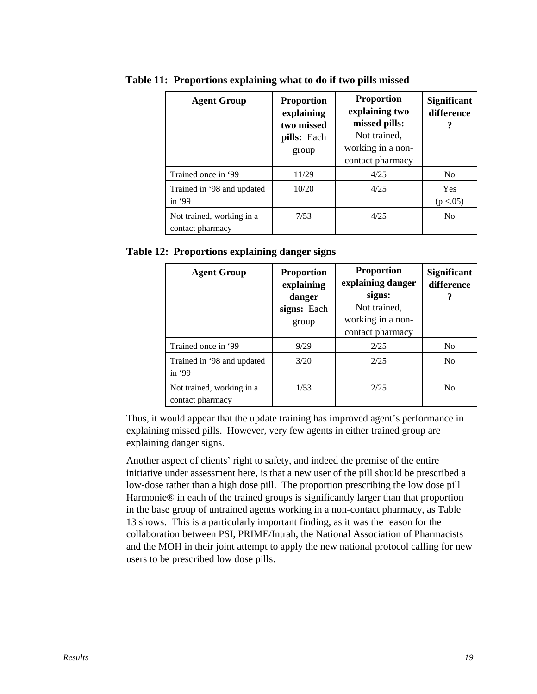| <b>Agent Group</b>                            | <b>Proportion</b><br>explaining<br>two missed<br>pills: Each<br>group | <b>Proportion</b><br>explaining two<br>missed pills:<br>Not trained,<br>working in a non-<br>contact pharmacy | <b>Significant</b><br>difference<br>? |
|-----------------------------------------------|-----------------------------------------------------------------------|---------------------------------------------------------------------------------------------------------------|---------------------------------------|
| Trained once in '99                           | 11/29                                                                 | 4/25                                                                                                          | N <sub>0</sub>                        |
| Trained in '98 and updated<br>in $99$         | 10/20                                                                 | 4/25                                                                                                          | Yes<br>(p < .05)                      |
| Not trained, working in a<br>contact pharmacy | 7/53                                                                  | 4/25                                                                                                          | N <sub>0</sub>                        |

**Table 11: Proportions explaining what to do if two pills missed**

**Table 12: Proportions explaining danger signs**

| <b>Agent Group</b>                            | <b>Proportion</b><br>explaining<br>danger<br>signs: Each<br>group | <b>Proportion</b><br>explaining danger<br>signs:<br>Not trained,<br>working in a non-<br>contact pharmacy | <b>Significant</b><br>difference |
|-----------------------------------------------|-------------------------------------------------------------------|-----------------------------------------------------------------------------------------------------------|----------------------------------|
| Trained once in '99                           | 9/29                                                              | 2/25                                                                                                      | N <sub>0</sub>                   |
| Trained in '98 and updated<br>in $99$         | 3/20                                                              | 2/25                                                                                                      | N <sub>0</sub>                   |
| Not trained, working in a<br>contact pharmacy | 1/53                                                              | 2/25                                                                                                      | N <sub>0</sub>                   |

Thus, it would appear that the update training has improved agent's performance in explaining missed pills. However, very few agents in either trained group are explaining danger signs.

Another aspect of clients' right to safety, and indeed the premise of the entire initiative under assessment here, is that a new user of the pill should be prescribed a low-dose rather than a high dose pill. The proportion prescribing the low dose pill Harmonie® in each of the trained groups is significantly larger than that proportion in the base group of untrained agents working in a non-contact pharmacy, as Table 13 shows. This is a particularly important finding, as it was the reason for the collaboration between PSI, PRIME/Intrah, the National Association of Pharmacists and the MOH in their joint attempt to apply the new national protocol calling for new users to be prescribed low dose pills.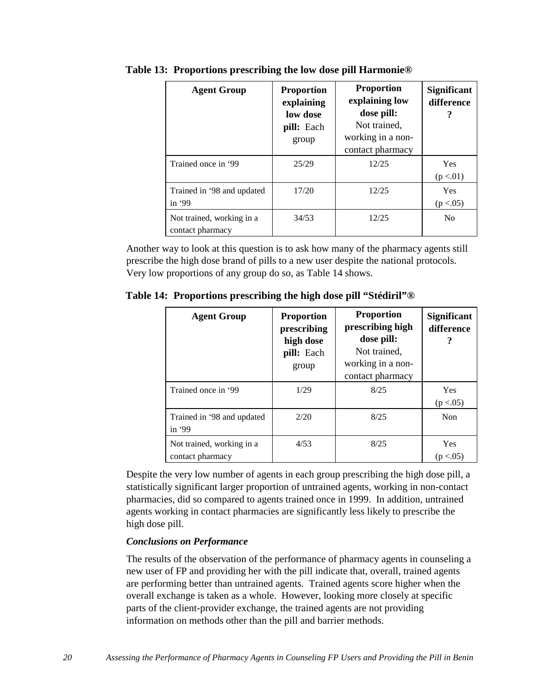| <b>Agent Group</b>                            | <b>Proportion</b><br>explaining<br>low dose<br>pill: Each<br>group | <b>Proportion</b><br>explaining low<br>dose pill:<br>Not trained,<br>working in a non-<br>contact pharmacy | <b>Significant</b><br>difference |
|-----------------------------------------------|--------------------------------------------------------------------|------------------------------------------------------------------------------------------------------------|----------------------------------|
| Trained once in '99                           | 25/29                                                              | 12/25                                                                                                      | Yes<br>(p < .01)                 |
| Trained in '98 and updated<br>in $99$         | 17/20                                                              | 12/25                                                                                                      | Yes<br>(p < .05)                 |
| Not trained, working in a<br>contact pharmacy | 34/53                                                              | 12/25                                                                                                      | No                               |

**Table 13: Proportions prescribing the low dose pill Harmonie®**

Another way to look at this question is to ask how many of the pharmacy agents still prescribe the high dose brand of pills to a new user despite the national protocols. Very low proportions of any group do so, as Table 14 shows.

**Table 14: Proportions prescribing the high dose pill "Stédiril"®**

| <b>Agent Group</b>                            | <b>Proportion</b><br>prescribing<br>high dose<br>pill: Each<br>group | <b>Proportion</b><br>prescribing high<br>dose pill:<br>Not trained,<br>working in a non-<br>contact pharmacy | <b>Significant</b><br>difference |
|-----------------------------------------------|----------------------------------------------------------------------|--------------------------------------------------------------------------------------------------------------|----------------------------------|
| Trained once in '99                           | 1/29                                                                 | 8/25                                                                                                         | Yes<br>(p < .05)                 |
| Trained in '98 and updated<br>in '99          | 2/20                                                                 | 8/25                                                                                                         | Non                              |
| Not trained, working in a<br>contact pharmacy | 4/53                                                                 | 8/25                                                                                                         | <b>Yes</b><br>(p < .05)          |

Despite the very low number of agents in each group prescribing the high dose pill, a statistically significant larger proportion of untrained agents, working in non-contact pharmacies, did so compared to agents trained once in 1999. In addition, untrained agents working in contact pharmacies are significantly less likely to prescribe the high dose pill.

#### *Conclusions on Performance*

The results of the observation of the performance of pharmacy agents in counseling a new user of FP and providing her with the pill indicate that, overall, trained agents are performing better than untrained agents. Trained agents score higher when the overall exchange is taken as a whole. However, looking more closely at specific parts of the client-provider exchange, the trained agents are not providing information on methods other than the pill and barrier methods.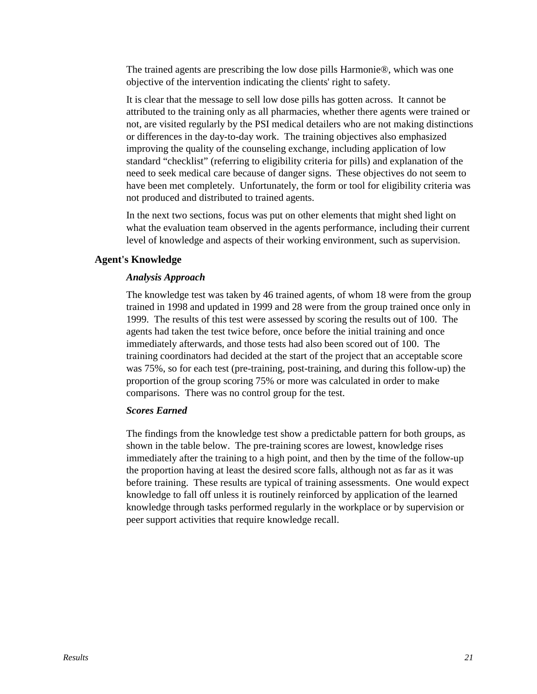The trained agents are prescribing the low dose pills Harmonie®, which was one objective of the intervention indicating the clients' right to safety.

It is clear that the message to sell low dose pills has gotten across. It cannot be attributed to the training only as all pharmacies, whether there agents were trained or not, are visited regularly by the PSI medical detailers who are not making distinctions or differences in the day-to-day work. The training objectives also emphasized improving the quality of the counseling exchange, including application of low standard "checklist" (referring to eligibility criteria for pills) and explanation of the need to seek medical care because of danger signs. These objectives do not seem to have been met completely. Unfortunately, the form or tool for eligibility criteria was not produced and distributed to trained agents.

In the next two sections, focus was put on other elements that might shed light on what the evaluation team observed in the agents performance, including their current level of knowledge and aspects of their working environment, such as supervision.

#### **Agent's Knowledge**

#### *Analysis Approach*

The knowledge test was taken by 46 trained agents, of whom 18 were from the group trained in 1998 and updated in 1999 and 28 were from the group trained once only in 1999. The results of this test were assessed by scoring the results out of 100. The agents had taken the test twice before, once before the initial training and once immediately afterwards, and those tests had also been scored out of 100. The training coordinators had decided at the start of the project that an acceptable score was 75%, so for each test (pre-training, post-training, and during this follow-up) the proportion of the group scoring 75% or more was calculated in order to make comparisons. There was no control group for the test.

#### *Scores Earned*

The findings from the knowledge test show a predictable pattern for both groups, as shown in the table below. The pre-training scores are lowest, knowledge rises immediately after the training to a high point, and then by the time of the follow-up the proportion having at least the desired score falls, although not as far as it was before training. These results are typical of training assessments. One would expect knowledge to fall off unless it is routinely reinforced by application of the learned knowledge through tasks performed regularly in the workplace or by supervision or peer support activities that require knowledge recall.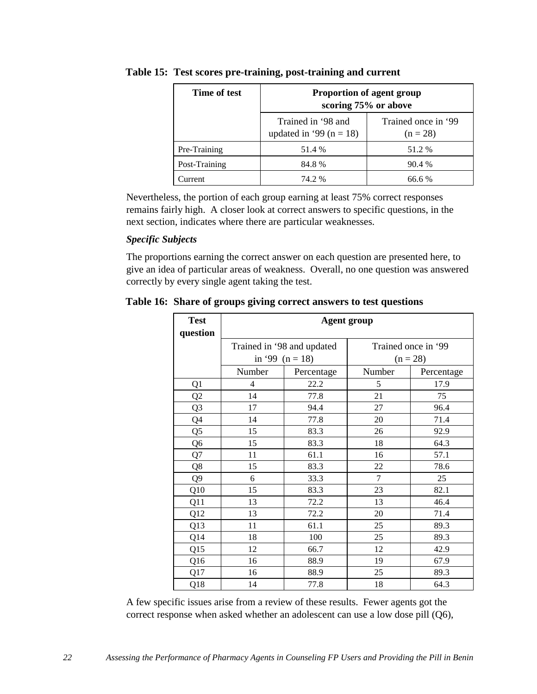| Time of test  | Proportion of agent group<br>scoring 75% or above |                                   |  |
|---------------|---------------------------------------------------|-----------------------------------|--|
|               | Trained in '98 and<br>updated in '99 ( $n = 18$ ) | Trained once in '99<br>$(n = 28)$ |  |
| Pre-Training  | 51.4 %                                            | 51.2 %                            |  |
| Post-Training | 84.8%                                             | 90.4 %                            |  |
| Jurrent       | 74.2 %                                            | 66.6 %                            |  |

#### **Table 15: Test scores pre-training, post-training and current**

Nevertheless, the portion of each group earning at least 75% correct responses remains fairly high. A closer look at correct answers to specific questions, in the next section, indicates where there are particular weaknesses.

#### *Specific Subjects*

The proportions earning the correct answer on each question are presented here, to give an idea of particular areas of weakness. Overall, no one question was answered correctly by every single agent taking the test.

| <b>Test</b><br>question | <b>Agent group</b> |                            |        |                     |
|-------------------------|--------------------|----------------------------|--------|---------------------|
|                         |                    | Trained in '98 and updated |        | Trained once in '99 |
|                         | in '99 $(n = 18)$  |                            |        | $(n = 28)$          |
|                         | Number             | Percentage                 | Number | Percentage          |
| Q1                      | 4                  | 22.2                       | 5      | 17.9                |
| Q2                      | 14                 | 77.8                       | 21     | 75                  |
| Q <sub>3</sub>          | 17                 | 94.4                       | 27     | 96.4                |
| Q4                      | 14                 | 77.8                       | 20     | 71.4                |
| Q <sub>5</sub>          | 15                 | 83.3                       | 26     | 92.9                |
| Q <sub>6</sub>          | 15                 | 83.3                       | 18     | 64.3                |
| Q7                      | 11                 | 61.1                       | 16     | 57.1                |
| Q8                      | 15                 | 83.3                       | 22     | 78.6                |
| Q <sub>9</sub>          | 6                  | 33.3                       | 7      | 25                  |
| Q10                     | 15                 | 83.3                       | 23     | 82.1                |
| Q11                     | 13                 | 72.2                       | 13     | 46.4                |
| Q12                     | 13                 | 72.2                       | 20     | 71.4                |
| Q13                     | 11                 | 61.1                       | 25     | 89.3                |
| Q14                     | 18                 | 100                        | 25     | 89.3                |
| Q15                     | 12                 | 66.7                       | 12     | 42.9                |
| Q16                     | 16                 | 88.9                       | 19     | 67.9                |
| Q17                     | 16                 | 88.9                       | 25     | 89.3                |
| Q18                     | 14                 | 77.8                       | 18     | 64.3                |

**Table 16: Share of groups giving correct answers to test questions**

A few specific issues arise from a review of these results. Fewer agents got the correct response when asked whether an adolescent can use a low dose pill (Q6),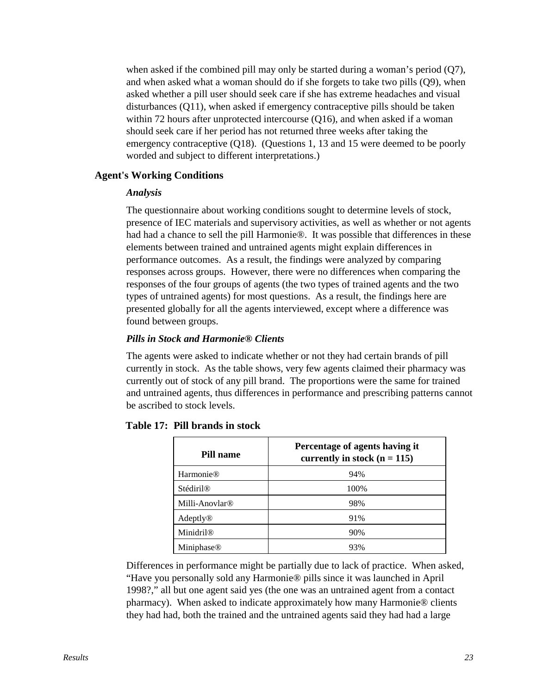when asked if the combined pill may only be started during a woman's period (Q7), and when asked what a woman should do if she forgets to take two pills (Q9), when asked whether a pill user should seek care if she has extreme headaches and visual disturbances (Q11), when asked if emergency contraceptive pills should be taken within 72 hours after unprotected intercourse (Q16), and when asked if a woman should seek care if her period has not returned three weeks after taking the emergency contraceptive (Q18). (Questions 1, 13 and 15 were deemed to be poorly worded and subject to different interpretations.)

#### **Agent's Working Conditions**

#### *Analysis*

The questionnaire about working conditions sought to determine levels of stock, presence of IEC materials and supervisory activities, as well as whether or not agents had had a chance to sell the pill Harmonie®. It was possible that differences in these elements between trained and untrained agents might explain differences in performance outcomes. As a result, the findings were analyzed by comparing responses across groups. However, there were no differences when comparing the responses of the four groups of agents (the two types of trained agents and the two types of untrained agents) for most questions. As a result, the findings here are presented globally for all the agents interviewed, except where a difference was found between groups.

#### *Pills in Stock and Harmonie® Clients*

The agents were asked to indicate whether or not they had certain brands of pill currently in stock. As the table shows, very few agents claimed their pharmacy was currently out of stock of any pill brand. The proportions were the same for trained and untrained agents, thus differences in performance and prescribing patterns cannot be ascribed to stock levels.

| Pill name                  | Percentage of agents having it<br>currently in stock $(n = 115)$ |
|----------------------------|------------------------------------------------------------------|
| <b>Harmonie®</b>           | 94%                                                              |
| <b>Stédiril®</b>           | 100%                                                             |
| Milli-Anovlar <sup>®</sup> | 98%                                                              |
| Adeptly®                   | 91%                                                              |
| Minidril <sup>®</sup>      | 90%                                                              |
| Miniphase <sup>®</sup>     | 93%                                                              |

#### **Table 17: Pill brands in stock**

Differences in performance might be partially due to lack of practice. When asked, "Have you personally sold any Harmonie® pills since it was launched in April 1998?," all but one agent said yes (the one was an untrained agent from a contact pharmacy). When asked to indicate approximately how many Harmonie® clients they had had, both the trained and the untrained agents said they had had a large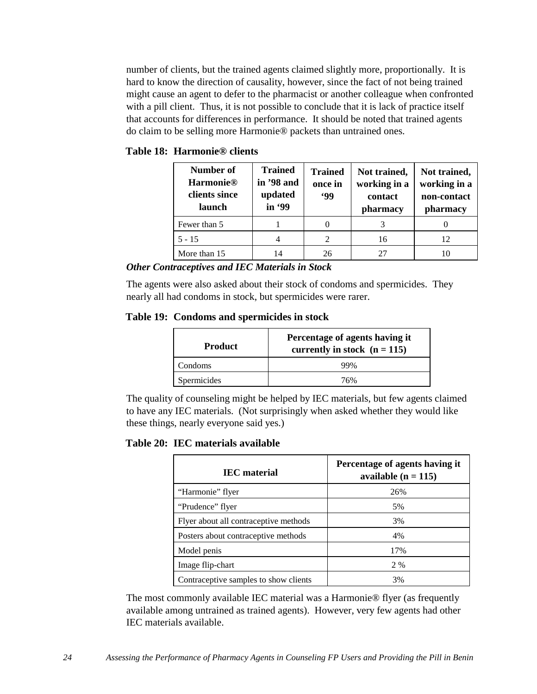number of clients, but the trained agents claimed slightly more, proportionally. It is hard to know the direction of causality, however, since the fact of not being trained might cause an agent to defer to the pharmacist or another colleague when confronted with a pill client. Thus, it is not possible to conclude that it is lack of practice itself that accounts for differences in performance. It should be noted that trained agents do claim to be selling more Harmonie® packets than untrained ones.

|  | Table 18: Harmonie® clients |  |
|--|-----------------------------|--|
|--|-----------------------------|--|

| Number of<br><b>Harmonie®</b><br>clients since<br>launch | <b>Trained</b><br>in '98 and<br>updated<br>in '99 | <b>Trained</b><br>once in<br><b>99</b> | Not trained,<br>working in a<br>contact<br>pharmacy | Not trained,<br>working in a<br>non-contact<br>pharmacy |
|----------------------------------------------------------|---------------------------------------------------|----------------------------------------|-----------------------------------------------------|---------------------------------------------------------|
| Fewer than 5                                             |                                                   |                                        |                                                     |                                                         |
| $5 - 15$                                                 |                                                   | 2                                      | 16                                                  | 12                                                      |
| More than 15                                             | 14                                                | 26                                     | 27                                                  |                                                         |

*Other Contraceptives and IEC Materials in Stock*

The agents were also asked about their stock of condoms and spermicides. They nearly all had condoms in stock, but spermicides were rarer.

#### **Table 19: Condoms and spermicides in stock**

| <b>Product</b> | Percentage of agents having it<br>currently in stock $(n = 115)$ |
|----------------|------------------------------------------------------------------|
| Condoms        | 99%                                                              |
| Spermicides    | 76%                                                              |

The quality of counseling might be helped by IEC materials, but few agents claimed to have any IEC materials. (Not surprisingly when asked whether they would like these things, nearly everyone said yes.)

#### **Table 20: IEC materials available**

| <b>IEC</b> material                   | Percentage of agents having it<br>available $(n = 115)$ |
|---------------------------------------|---------------------------------------------------------|
| "Harmonie" flyer                      | 26%                                                     |
| "Prudence" flyer                      | 5%                                                      |
| Flyer about all contraceptive methods | 3%                                                      |
| Posters about contraceptive methods   | 4%                                                      |
| Model penis                           | 17%                                                     |
| Image flip-chart                      | 2 %                                                     |
| Contraceptive samples to show clients | 3%                                                      |

The most commonly available IEC material was a Harmonie® flyer (as frequently available among untrained as trained agents). However, very few agents had other IEC materials available.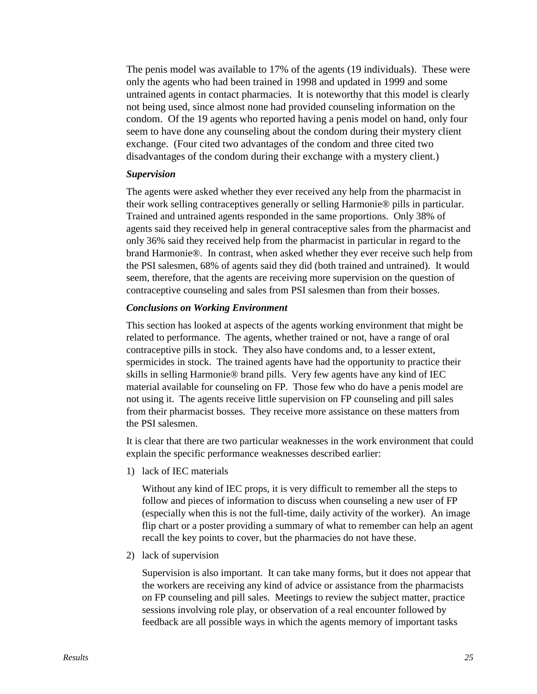The penis model was available to 17% of the agents (19 individuals). These were only the agents who had been trained in 1998 and updated in 1999 and some untrained agents in contact pharmacies. It is noteworthy that this model is clearly not being used, since almost none had provided counseling information on the condom. Of the 19 agents who reported having a penis model on hand, only four seem to have done any counseling about the condom during their mystery client exchange. (Four cited two advantages of the condom and three cited two disadvantages of the condom during their exchange with a mystery client.)

#### *Supervision*

The agents were asked whether they ever received any help from the pharmacist in their work selling contraceptives generally or selling Harmonie® pills in particular. Trained and untrained agents responded in the same proportions. Only 38% of agents said they received help in general contraceptive sales from the pharmacist and only 36% said they received help from the pharmacist in particular in regard to the brand Harmonie®. In contrast, when asked whether they ever receive such help from the PSI salesmen, 68% of agents said they did (both trained and untrained). It would seem, therefore, that the agents are receiving more supervision on the question of contraceptive counseling and sales from PSI salesmen than from their bosses.

#### *Conclusions on Working Environment*

This section has looked at aspects of the agents working environment that might be related to performance. The agents, whether trained or not, have a range of oral contraceptive pills in stock. They also have condoms and, to a lesser extent, spermicides in stock. The trained agents have had the opportunity to practice their skills in selling Harmonie® brand pills. Very few agents have any kind of IEC material available for counseling on FP. Those few who do have a penis model are not using it. The agents receive little supervision on FP counseling and pill sales from their pharmacist bosses. They receive more assistance on these matters from the PSI salesmen.

It is clear that there are two particular weaknesses in the work environment that could explain the specific performance weaknesses described earlier:

1) lack of IEC materials

Without any kind of IEC props, it is very difficult to remember all the steps to follow and pieces of information to discuss when counseling a new user of FP (especially when this is not the full-time, daily activity of the worker). An image flip chart or a poster providing a summary of what to remember can help an agent recall the key points to cover, but the pharmacies do not have these.

2) lack of supervision

Supervision is also important. It can take many forms, but it does not appear that the workers are receiving any kind of advice or assistance from the pharmacists on FP counseling and pill sales. Meetings to review the subject matter, practice sessions involving role play, or observation of a real encounter followed by feedback are all possible ways in which the agents memory of important tasks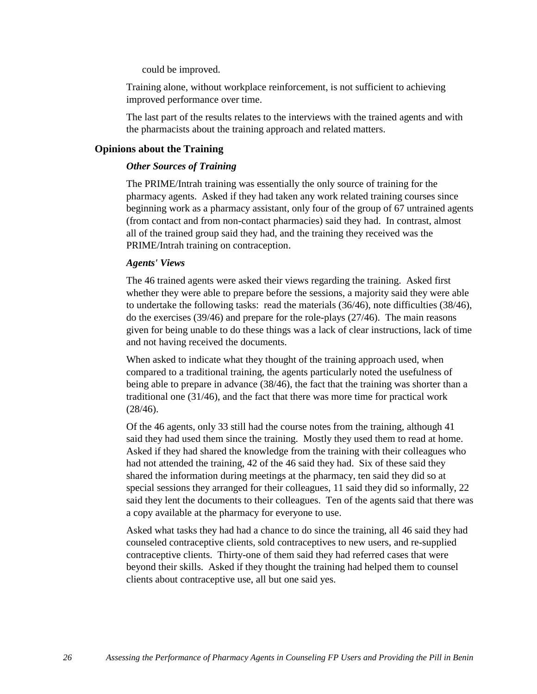could be improved.

Training alone, without workplace reinforcement, is not sufficient to achieving improved performance over time.

The last part of the results relates to the interviews with the trained agents and with the pharmacists about the training approach and related matters.

#### **Opinions about the Training**

#### *Other Sources of Training*

The PRIME/Intrah training was essentially the only source of training for the pharmacy agents. Asked if they had taken any work related training courses since beginning work as a pharmacy assistant, only four of the group of 67 untrained agents (from contact and from non-contact pharmacies) said they had. In contrast, almost all of the trained group said they had, and the training they received was the PRIME/Intrah training on contraception.

#### *Agents' Views*

The 46 trained agents were asked their views regarding the training. Asked first whether they were able to prepare before the sessions, a majority said they were able to undertake the following tasks: read the materials  $(36/46)$ , note difficulties  $(38/46)$ , do the exercises (39/46) and prepare for the role-plays (27/46). The main reasons given for being unable to do these things was a lack of clear instructions, lack of time and not having received the documents.

When asked to indicate what they thought of the training approach used, when compared to a traditional training, the agents particularly noted the usefulness of being able to prepare in advance (38/46), the fact that the training was shorter than a traditional one (31/46), and the fact that there was more time for practical work (28/46).

Of the 46 agents, only 33 still had the course notes from the training, although 41 said they had used them since the training. Mostly they used them to read at home. Asked if they had shared the knowledge from the training with their colleagues who had not attended the training, 42 of the 46 said they had. Six of these said they shared the information during meetings at the pharmacy, ten said they did so at special sessions they arranged for their colleagues, 11 said they did so informally, 22 said they lent the documents to their colleagues. Ten of the agents said that there was a copy available at the pharmacy for everyone to use.

Asked what tasks they had had a chance to do since the training, all 46 said they had counseled contraceptive clients, sold contraceptives to new users, and re-supplied contraceptive clients. Thirty-one of them said they had referred cases that were beyond their skills. Asked if they thought the training had helped them to counsel clients about contraceptive use, all but one said yes.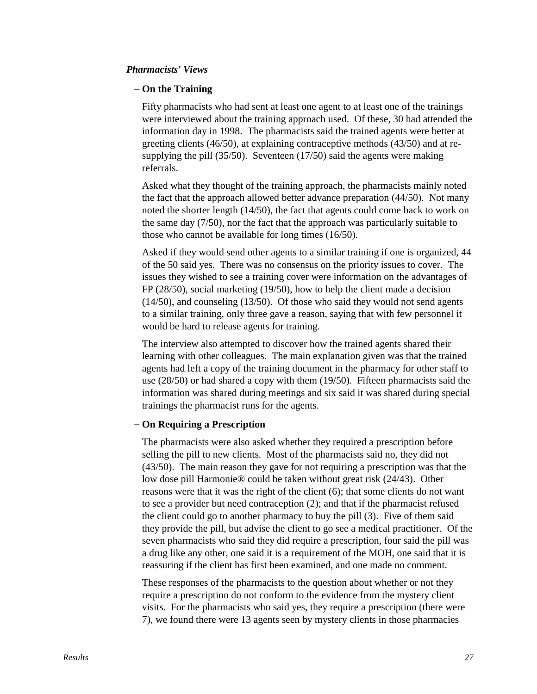#### *Pharmacists' Views*

#### − **On the Training**

Fifty pharmacists who had sent at least one agent to at least one of the trainings were interviewed about the training approach used. Of these, 30 had attended the information day in 1998. The pharmacists said the trained agents were better at greeting clients (46/50), at explaining contraceptive methods (43/50) and at resupplying the pill (35/50). Seventeen (17/50) said the agents were making referrals.

Asked what they thought of the training approach, the pharmacists mainly noted the fact that the approach allowed better advance preparation (44/50). Not many noted the shorter length (14/50), the fact that agents could come back to work on the same day (7/50), nor the fact that the approach was particularly suitable to those who cannot be available for long times (16/50).

Asked if they would send other agents to a similar training if one is organized, 44 of the 50 said yes. There was no consensus on the priority issues to cover. The issues they wished to see a training cover were information on the advantages of FP (28/50), social marketing (19/50), how to help the client made a decision (14/50), and counseling (13/50). Of those who said they would not send agents to a similar training, only three gave a reason, saying that with few personnel it would be hard to release agents for training.

The interview also attempted to discover how the trained agents shared their learning with other colleagues. The main explanation given was that the trained agents had left a copy of the training document in the pharmacy for other staff to use (28/50) or had shared a copy with them (19/50). Fifteen pharmacists said the information was shared during meetings and six said it was shared during special trainings the pharmacist runs for the agents.

#### − **On Requiring a Prescription**

The pharmacists were also asked whether they required a prescription before selling the pill to new clients. Most of the pharmacists said no, they did not (43/50). The main reason they gave for not requiring a prescription was that the low dose pill Harmonie® could be taken without great risk (24/43). Other reasons were that it was the right of the client (6); that some clients do not want to see a provider but need contraception (2); and that if the pharmacist refused the client could go to another pharmacy to buy the pill (3). Five of them said they provide the pill, but advise the client to go see a medical practitioner. Of the seven pharmacists who said they did require a prescription, four said the pill was a drug like any other, one said it is a requirement of the MOH, one said that it is reassuring if the client has first been examined, and one made no comment.

These responses of the pharmacists to the question about whether or not they require a prescription do not conform to the evidence from the mystery client visits. For the pharmacists who said yes, they require a prescription (there were 7), we found there were 13 agents seen by mystery clients in those pharmacies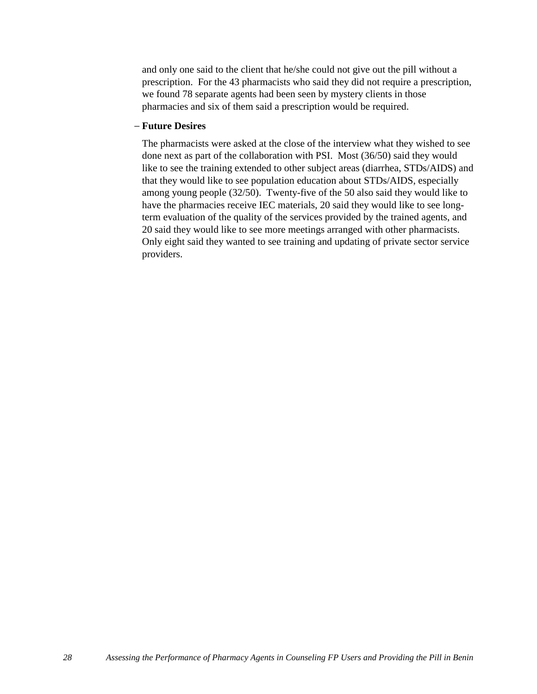and only one said to the client that he/she could not give out the pill without a prescription. For the 43 pharmacists who said they did not require a prescription, we found 78 separate agents had been seen by mystery clients in those pharmacies and six of them said a prescription would be required.

#### − **Future Desires**

The pharmacists were asked at the close of the interview what they wished to see done next as part of the collaboration with PSI. Most (36/50) said they would like to see the training extended to other subject areas (diarrhea, STDs/AIDS) and that they would like to see population education about STDs/AIDS, especially among young people (32/50). Twenty-five of the 50 also said they would like to have the pharmacies receive IEC materials, 20 said they would like to see longterm evaluation of the quality of the services provided by the trained agents, and 20 said they would like to see more meetings arranged with other pharmacists. Only eight said they wanted to see training and updating of private sector service providers.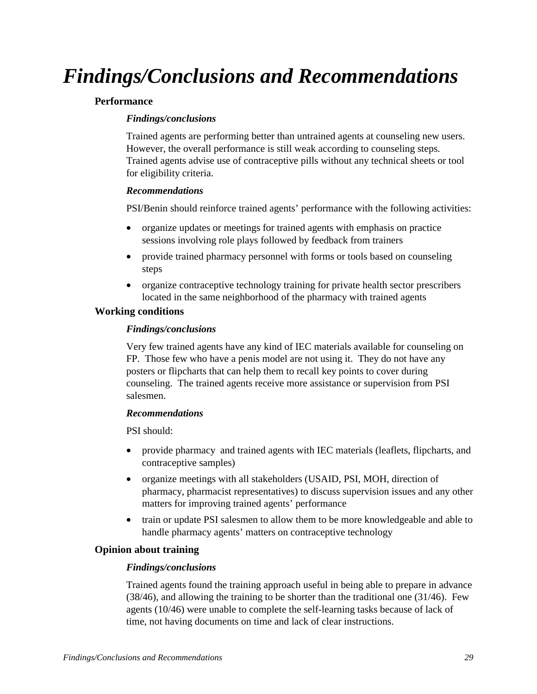# *Findings/Conclusions and Recommendations*

#### **Performance**

#### *Findings/conclusions*

Trained agents are performing better than untrained agents at counseling new users. However, the overall performance is still weak according to counseling steps. Trained agents advise use of contraceptive pills without any technical sheets or tool for eligibility criteria.

#### *Recommendations*

PSI/Benin should reinforce trained agents' performance with the following activities:

- organize updates or meetings for trained agents with emphasis on practice sessions involving role plays followed by feedback from trainers
- provide trained pharmacy personnel with forms or tools based on counseling steps
- organize contraceptive technology training for private health sector prescribers located in the same neighborhood of the pharmacy with trained agents

#### **Working conditions**

#### *Findings/conclusions*

Very few trained agents have any kind of IEC materials available for counseling on FP. Those few who have a penis model are not using it. They do not have any posters or flipcharts that can help them to recall key points to cover during counseling. The trained agents receive more assistance or supervision from PSI salesmen.

#### *Recommendations*

PSI should:

- provide pharmacy and trained agents with IEC materials (leaflets, flipcharts, and contraceptive samples)
- organize meetings with all stakeholders (USAID, PSI, MOH, direction of pharmacy, pharmacist representatives) to discuss supervision issues and any other matters for improving trained agents' performance
- train or update PSI salesmen to allow them to be more knowledgeable and able to handle pharmacy agents' matters on contraceptive technology

#### **Opinion about training**

#### *Findings/conclusions*

Trained agents found the training approach useful in being able to prepare in advance (38/46), and allowing the training to be shorter than the traditional one (31/46). Few agents (10/46) were unable to complete the self-learning tasks because of lack of time, not having documents on time and lack of clear instructions.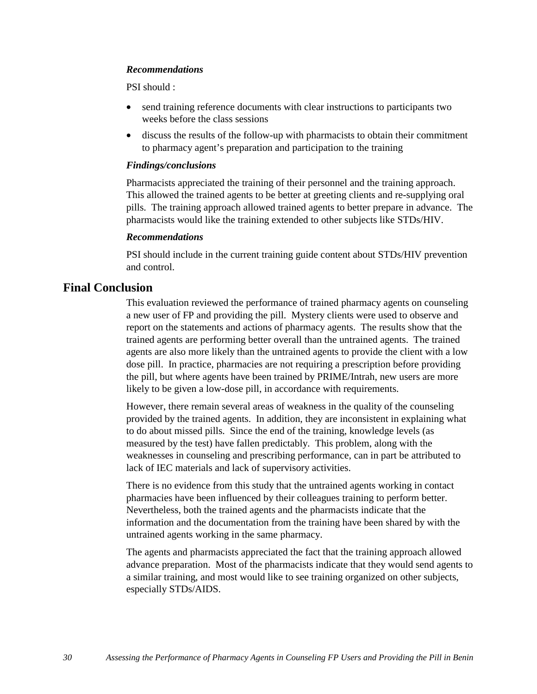#### *Recommendations*

PSI should :

- send training reference documents with clear instructions to participants two weeks before the class sessions
- discuss the results of the follow-up with pharmacists to obtain their commitment to pharmacy agent's preparation and participation to the training

#### *Findings/conclusions*

Pharmacists appreciated the training of their personnel and the training approach. This allowed the trained agents to be better at greeting clients and re-supplying oral pills. The training approach allowed trained agents to better prepare in advance. The pharmacists would like the training extended to other subjects like STDs/HIV.

#### *Recommendations*

PSI should include in the current training guide content about STDs/HIV prevention and control.

#### **Final Conclusion**

This evaluation reviewed the performance of trained pharmacy agents on counseling a new user of FP and providing the pill. Mystery clients were used to observe and report on the statements and actions of pharmacy agents. The results show that the trained agents are performing better overall than the untrained agents. The trained agents are also more likely than the untrained agents to provide the client with a low dose pill. In practice, pharmacies are not requiring a prescription before providing the pill, but where agents have been trained by PRIME/Intrah, new users are more likely to be given a low-dose pill, in accordance with requirements.

However, there remain several areas of weakness in the quality of the counseling provided by the trained agents. In addition, they are inconsistent in explaining what to do about missed pills. Since the end of the training, knowledge levels (as measured by the test) have fallen predictably. This problem, along with the weaknesses in counseling and prescribing performance, can in part be attributed to lack of IEC materials and lack of supervisory activities.

There is no evidence from this study that the untrained agents working in contact pharmacies have been influenced by their colleagues training to perform better. Nevertheless, both the trained agents and the pharmacists indicate that the information and the documentation from the training have been shared by with the untrained agents working in the same pharmacy.

The agents and pharmacists appreciated the fact that the training approach allowed advance preparation. Most of the pharmacists indicate that they would send agents to a similar training, and most would like to see training organized on other subjects, especially STDs/AIDS.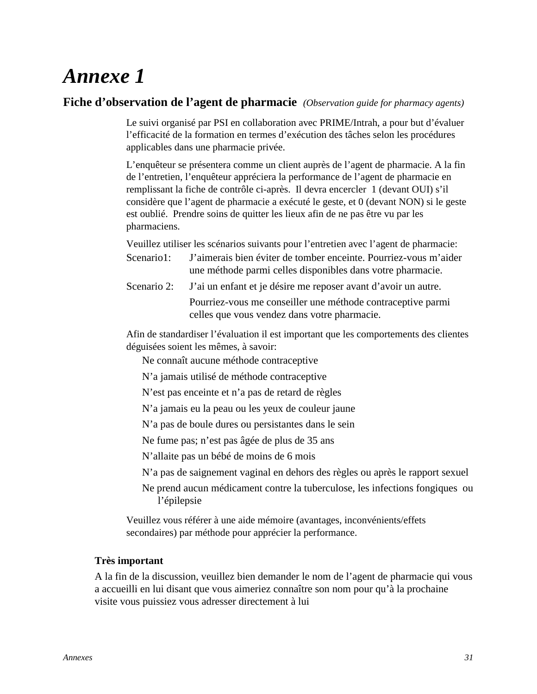#### **Fiche d'observation de l'agent de pharmacie** *(Observation guide for pharmacy agents)*

Le suivi organisé par PSI en collaboration avec PRIME/Intrah, a pour but d'évaluer l'efficacité de la formation en termes d'exécution des tâches selon les procédures applicables dans une pharmacie privée.

L'enquêteur se présentera comme un client auprès de l'agent de pharmacie. A la fin de l'entretien, l'enquêteur appréciera la performance de l'agent de pharmacie en remplissant la fiche de contrôle ci-après. Il devra encercler 1 (devant OUI) s'il considère que l'agent de pharmacie a exécuté le geste, et 0 (devant NON) si le geste est oublié. Prendre soins de quitter les lieux afin de ne pas être vu par les pharmaciens.

Veuillez utiliser les scénarios suivants pour l'entretien avec l'agent de pharmacie:

- Scenario1: J'aimerais bien éviter de tomber enceinte. Pourriez-vous m'aider une méthode parmi celles disponibles dans votre pharmacie.
- Scenario 2: J'ai un enfant et je désire me reposer avant d'avoir un autre. Pourriez-vous me conseiller une méthode contraceptive parmi celles que vous vendez dans votre pharmacie.

Afin de standardiser l'évaluation il est important que les comportements des clientes déguisées soient les mêmes, à savoir:

Ne connaît aucune méthode contraceptive

N'a jamais utilisé de méthode contraceptive

N'est pas enceinte et n'a pas de retard de règles

N'a jamais eu la peau ou les yeux de couleur jaune

N'a pas de boule dures ou persistantes dans le sein

Ne fume pas; n'est pas âgée de plus de 35 ans

N'allaite pas un bébé de moins de 6 mois

N'a pas de saignement vaginal en dehors des règles ou après le rapport sexuel

Ne prend aucun médicament contre la tuberculose, les infections fongiques ou l'épilepsie

Veuillez vous référer à une aide mémoire (avantages, inconvénients/effets secondaires) par méthode pour apprécier la performance.

#### **Très important**

A la fin de la discussion, veuillez bien demander le nom de l'agent de pharmacie qui vous a accueilli en lui disant que vous aimeriez connaître son nom pour qu'à la prochaine visite vous puissiez vous adresser directement à lui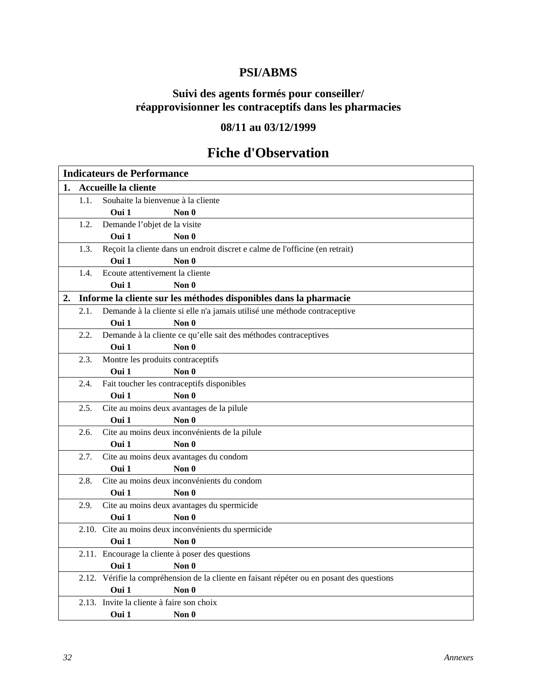### **PSI/ABMS**

### **Suivi des agents formés pour conseiller/ réapprovisionner les contraceptifs dans les pharmacies**

### **08/11 au 03/12/1999**

### **Fiche d'Observation**

|    | <b>Indicateurs de Performance</b> |                                           |                                                                                                     |  |  |  |
|----|-----------------------------------|-------------------------------------------|-----------------------------------------------------------------------------------------------------|--|--|--|
| 1. |                                   | Accueille la cliente                      |                                                                                                     |  |  |  |
|    | 1.1.                              | Souhaite la bienvenue à la cliente        |                                                                                                     |  |  |  |
|    |                                   | Oui 1                                     | Non $0$                                                                                             |  |  |  |
|    | 1.2.                              | Demande l'objet de la visite              |                                                                                                     |  |  |  |
|    |                                   | Oui 1                                     | Non $\mathbf 0$                                                                                     |  |  |  |
|    | 1.3.                              |                                           | Reçoit la cliente dans un endroit discret e calme de l'officine (en retrait)                        |  |  |  |
|    |                                   | Oui 1                                     | Non 0                                                                                               |  |  |  |
|    | 1.4.                              | Ecoute attentivement la cliente           |                                                                                                     |  |  |  |
|    |                                   | Oui 1                                     | Non $0$                                                                                             |  |  |  |
| 2. |                                   |                                           | Informe la cliente sur les méthodes disponibles dans la pharmacie                                   |  |  |  |
|    | 2.1.                              |                                           | Demande à la cliente si elle n'a jamais utilisé une méthode contraceptive                           |  |  |  |
|    |                                   | Oui 1                                     | Non 0                                                                                               |  |  |  |
|    | 2.2.                              |                                           | Demande à la cliente ce qu'elle sait des méthodes contraceptives                                    |  |  |  |
|    |                                   | Oui 1                                     | Non $\mathbf 0$                                                                                     |  |  |  |
|    | 2.3.                              | Montre les produits contraceptifs         |                                                                                                     |  |  |  |
|    |                                   | Oui 1                                     | Non 0                                                                                               |  |  |  |
|    | 2.4.                              |                                           | Fait toucher les contraceptifs disponibles                                                          |  |  |  |
|    |                                   | Oui 1                                     | Non $\theta$                                                                                        |  |  |  |
|    | 2.5.                              |                                           | Cite au moins deux avantages de la pilule                                                           |  |  |  |
|    |                                   | Oui 1                                     | Non 0                                                                                               |  |  |  |
|    | 2.6.                              |                                           | Cite au moins deux inconvénients de la pilule                                                       |  |  |  |
|    |                                   | Oui 1                                     | Non $0$                                                                                             |  |  |  |
|    | 2.7.                              |                                           | Cite au moins deux avantages du condom                                                              |  |  |  |
|    |                                   | Oui 1                                     | Non $\theta$                                                                                        |  |  |  |
|    | 2.8.                              |                                           | Cite au moins deux inconvénients du condom                                                          |  |  |  |
|    |                                   | Oui 1                                     | Non $\mathbf 0$                                                                                     |  |  |  |
|    | 2.9.                              |                                           | Cite au moins deux avantages du spermicide                                                          |  |  |  |
|    |                                   | Oui 1                                     | Non $0$                                                                                             |  |  |  |
|    |                                   |                                           | 2.10. Cite au moins deux inconvénients du spermicide                                                |  |  |  |
|    |                                   | Oui 1                                     | Non 0                                                                                               |  |  |  |
|    |                                   | Oui 1                                     | 2.11. Encourage la cliente à poser des questions                                                    |  |  |  |
|    |                                   |                                           | Non 0<br>2.12. Vérifie la compréhension de la cliente en faisant répéter ou en posant des questions |  |  |  |
|    |                                   | Oui 1                                     | Non $0$                                                                                             |  |  |  |
|    |                                   | 2.13. Invite la cliente à faire son choix |                                                                                                     |  |  |  |
|    |                                   |                                           |                                                                                                     |  |  |  |
|    |                                   | Oui 1                                     | Non 0                                                                                               |  |  |  |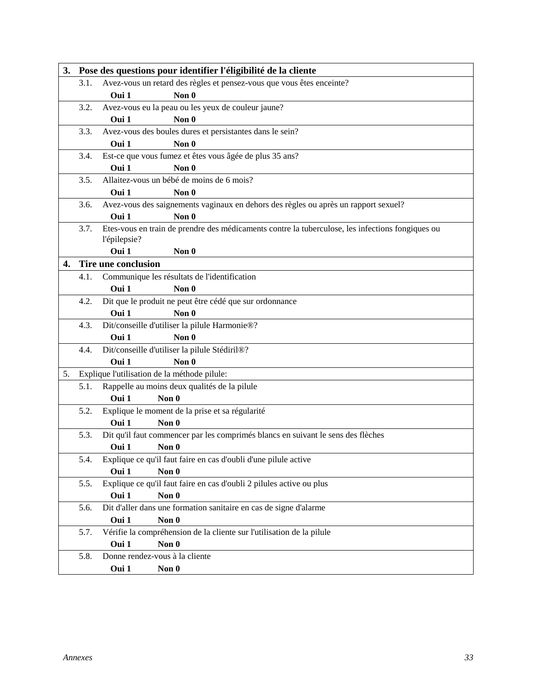| 3. |      | Pose des questions pour identifier l'éligibilité de la cliente                                                   |  |  |  |  |
|----|------|------------------------------------------------------------------------------------------------------------------|--|--|--|--|
|    | 3.1. | Avez-vous un retard des règles et pensez-vous que vous êtes enceinte?                                            |  |  |  |  |
|    |      | Non 0<br>Oui 1                                                                                                   |  |  |  |  |
|    | 3.2. | Avez-vous eu la peau ou les yeux de couleur jaune?                                                               |  |  |  |  |
|    |      | Oui 1<br>Non 0                                                                                                   |  |  |  |  |
|    | 3.3. | Avez-vous des boules dures et persistantes dans le sein?                                                         |  |  |  |  |
|    |      | Oui 1<br>Non 0                                                                                                   |  |  |  |  |
|    | 3.4. | Est-ce que vous fumez et êtes vous âgée de plus 35 ans?                                                          |  |  |  |  |
|    |      | Oui 1<br>Non 0                                                                                                   |  |  |  |  |
|    | 3.5. | Allaitez-vous un bébé de moins de 6 mois?                                                                        |  |  |  |  |
|    |      | Oui 1<br>Non $0$                                                                                                 |  |  |  |  |
|    | 3.6. | Avez-vous des saignements vaginaux en dehors des règles ou après un rapport sexuel?                              |  |  |  |  |
|    |      | Oui 1<br>Non 0                                                                                                   |  |  |  |  |
|    | 3.7. | Etes-vous en train de prendre des médicaments contre la tuberculose, les infections fongiques ou<br>l'épilepsie? |  |  |  |  |
|    |      | Oui 1<br>Non $0$                                                                                                 |  |  |  |  |
| 4. |      | Tire une conclusion                                                                                              |  |  |  |  |
|    | 4.1. | Communique les résultats de l'identification                                                                     |  |  |  |  |
|    |      | Oui 1<br>Non 0                                                                                                   |  |  |  |  |
|    | 4.2. | Dit que le produit ne peut être cédé que sur ordonnance                                                          |  |  |  |  |
|    |      | Oui 1<br>Non 0                                                                                                   |  |  |  |  |
|    | 4.3. | Dit/conseille d'utiliser la pilule Harmonie®?                                                                    |  |  |  |  |
|    |      | Non $0$<br>Oui 1                                                                                                 |  |  |  |  |
|    | 4.4. | Dit/conseille d'utiliser la pilule Stédiril®?                                                                    |  |  |  |  |
|    |      | Oui 1<br>Non 0                                                                                                   |  |  |  |  |
| 5. |      | Explique l'utilisation de la méthode pilule:                                                                     |  |  |  |  |
|    | 5.1. | Rappelle au moins deux qualités de la pilule                                                                     |  |  |  |  |
|    |      | Oui 1<br>Non $0$                                                                                                 |  |  |  |  |
|    | 5.2. | Explique le moment de la prise et sa régularité                                                                  |  |  |  |  |
|    |      | Oui 1<br>Non $0$                                                                                                 |  |  |  |  |
|    | 5.3. | Dit qu'il faut commencer par les comprimés blancs en suivant le sens des flèches                                 |  |  |  |  |
|    |      | Oui 1<br>Non 0                                                                                                   |  |  |  |  |
|    | 5.4. | Explique ce qu'il faut faire en cas d'oubli d'une pilule active                                                  |  |  |  |  |
|    |      | Oui 1<br>Non 0                                                                                                   |  |  |  |  |
|    | 5.5. | Explique ce qu'il faut faire en cas d'oubli 2 pilules active ou plus                                             |  |  |  |  |
|    |      | Oui 1<br>Non 0                                                                                                   |  |  |  |  |
|    | 5.6. | Dit d'aller dans une formation sanitaire en cas de signe d'alarme                                                |  |  |  |  |
|    |      | Non 0<br>Oui 1                                                                                                   |  |  |  |  |
|    | 5.7. | Vérifie la compréhension de la cliente sur l'utilisation de la pilule                                            |  |  |  |  |
|    |      | Oui 1<br>Non 0                                                                                                   |  |  |  |  |
|    | 5.8. | Donne rendez-vous à la cliente                                                                                   |  |  |  |  |
|    |      | Oui 1<br>Non 0                                                                                                   |  |  |  |  |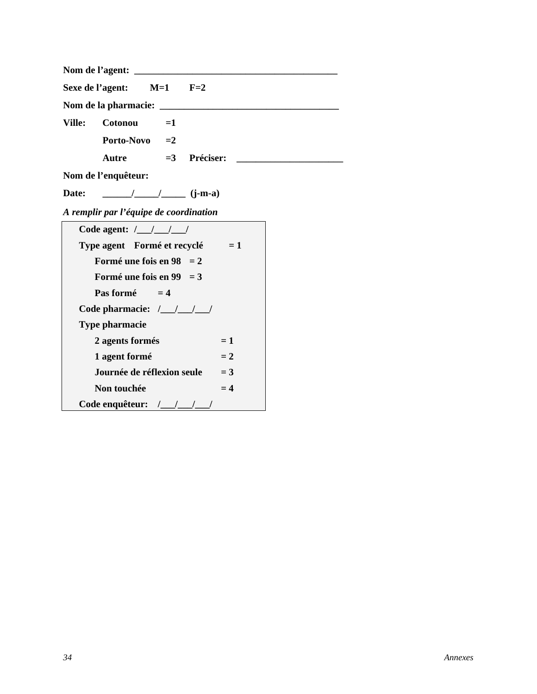| Sexe de l'agent: $M=1$ $F=2$                                                                                                                                                                                                                                                                                                                                                                                                             |  |  |  |  |  |
|------------------------------------------------------------------------------------------------------------------------------------------------------------------------------------------------------------------------------------------------------------------------------------------------------------------------------------------------------------------------------------------------------------------------------------------|--|--|--|--|--|
|                                                                                                                                                                                                                                                                                                                                                                                                                                          |  |  |  |  |  |
| Cotonou<br><b>Ville:</b><br>$=1$                                                                                                                                                                                                                                                                                                                                                                                                         |  |  |  |  |  |
| Porto-Novo $=2$                                                                                                                                                                                                                                                                                                                                                                                                                          |  |  |  |  |  |
| $=3$ Préciser:<br>Autre                                                                                                                                                                                                                                                                                                                                                                                                                  |  |  |  |  |  |
| Nom de l'enquêteur:                                                                                                                                                                                                                                                                                                                                                                                                                      |  |  |  |  |  |
| $\frac{1}{\sqrt{1-\frac{1}{2}}}\frac{1}{\sqrt{1-\frac{1}{2}}}\frac{1}{\sqrt{1-\frac{1}{2}}}\frac{1}{\sqrt{1-\frac{1}{2}}}\frac{1}{\sqrt{1-\frac{1}{2}}}\frac{1}{\sqrt{1-\frac{1}{2}}}\frac{1}{\sqrt{1-\frac{1}{2}}}\frac{1}{\sqrt{1-\frac{1}{2}}}\frac{1}{\sqrt{1-\frac{1}{2}}}\frac{1}{\sqrt{1-\frac{1}{2}}}\frac{1}{\sqrt{1-\frac{1}{2}}}\frac{1}{\sqrt{1-\frac{1}{2}}}\frac{1}{\sqrt{1-\frac{1}{2}}}\frac{1}{\sqrt{1-\frac{$<br>Date: |  |  |  |  |  |
| A remplir par l'équipe de coordination                                                                                                                                                                                                                                                                                                                                                                                                   |  |  |  |  |  |
| Code agent: $\frac{1}{1}$ $\frac{1}{1}$                                                                                                                                                                                                                                                                                                                                                                                                  |  |  |  |  |  |
| Type agent Formé et recyclé $= 1$                                                                                                                                                                                                                                                                                                                                                                                                        |  |  |  |  |  |
| Formé une fois en $98 = 2$                                                                                                                                                                                                                                                                                                                                                                                                               |  |  |  |  |  |
| Formé une fois en 99 = $3$                                                                                                                                                                                                                                                                                                                                                                                                               |  |  |  |  |  |
| Pas formé $=4$                                                                                                                                                                                                                                                                                                                                                                                                                           |  |  |  |  |  |
| Code pharmacie: / / / /                                                                                                                                                                                                                                                                                                                                                                                                                  |  |  |  |  |  |
| <b>Type pharmacie</b>                                                                                                                                                                                                                                                                                                                                                                                                                    |  |  |  |  |  |
| $= 1$<br>2 agents formés                                                                                                                                                                                                                                                                                                                                                                                                                 |  |  |  |  |  |
| 1 agent formé<br>$= 2$                                                                                                                                                                                                                                                                                                                                                                                                                   |  |  |  |  |  |
| Journée de réflexion seule<br>$= 3$                                                                                                                                                                                                                                                                                                                                                                                                      |  |  |  |  |  |
| $= 4$<br>Non touchée                                                                                                                                                                                                                                                                                                                                                                                                                     |  |  |  |  |  |
| Code enquêteur: /_/_/_/_/                                                                                                                                                                                                                                                                                                                                                                                                                |  |  |  |  |  |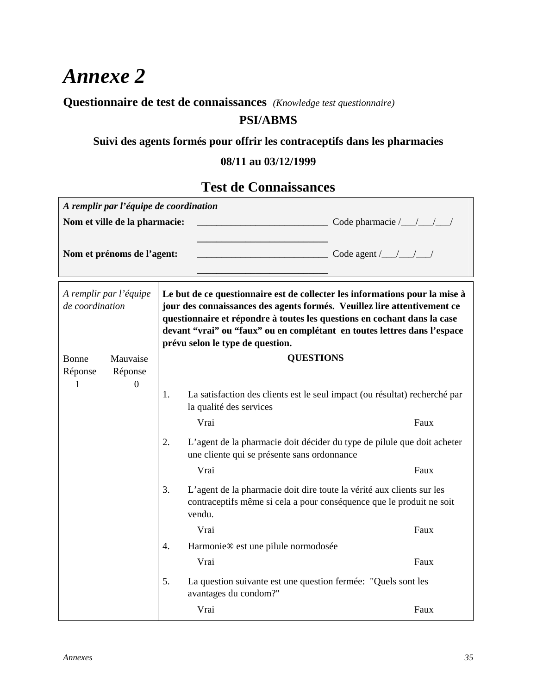### **Questionnaire de test de connaissances** *(Knowledge test questionnaire)*

### **PSI/ABMS**

### **Suivi des agents formés pour offrir les contraceptifs dans les pharmacies**

### **08/11 au 03/12/1999**

### **Test de Connaissances**

|                                                                                                                                                               | A remplir par l'équipe de coordination |                                                          |                                                                                                                                                                                                                                                                                                                                                     |      |
|---------------------------------------------------------------------------------------------------------------------------------------------------------------|----------------------------------------|----------------------------------------------------------|-----------------------------------------------------------------------------------------------------------------------------------------------------------------------------------------------------------------------------------------------------------------------------------------------------------------------------------------------------|------|
|                                                                                                                                                               | Nom et ville de la pharmacie:          | $\frac{1}{2}$ Code pharmacie $\frac{1}{2}$ $\frac{1}{2}$ |                                                                                                                                                                                                                                                                                                                                                     |      |
| Nom et prénoms de l'agent:<br>Code agent $\frac{1}{2}$ $\frac{1}{2}$                                                                                          |                                        |                                                          |                                                                                                                                                                                                                                                                                                                                                     |      |
| A remplir par l'équipe<br>de coordination                                                                                                                     |                                        |                                                          | Le but de ce questionnaire est de collecter les informations pour la mise à<br>jour des connaissances des agents formés. Veuillez lire attentivement ce<br>questionnaire et répondre à toutes les questions en cochant dans la case<br>devant "vrai" ou "faux" ou en complétant en toutes lettres dans l'espace<br>prévu selon le type de question. |      |
| Mauvaise<br>Bonne                                                                                                                                             |                                        |                                                          | <b>QUESTIONS</b>                                                                                                                                                                                                                                                                                                                                    |      |
| Réponse<br>1                                                                                                                                                  | Réponse<br>$\boldsymbol{0}$            |                                                          |                                                                                                                                                                                                                                                                                                                                                     |      |
|                                                                                                                                                               |                                        | 1.                                                       | La satisfaction des clients est le seul impact (ou résultat) recherché par<br>la qualité des services                                                                                                                                                                                                                                               |      |
|                                                                                                                                                               |                                        |                                                          | Vrai                                                                                                                                                                                                                                                                                                                                                | Faux |
|                                                                                                                                                               |                                        | 2.                                                       | L'agent de la pharmacie doit décider du type de pilule que doit acheter<br>une cliente qui se présente sans ordonnance                                                                                                                                                                                                                              |      |
|                                                                                                                                                               |                                        |                                                          | Vrai                                                                                                                                                                                                                                                                                                                                                | Faux |
| 3.<br>L'agent de la pharmacie doit dire toute la vérité aux clients sur les<br>contraceptifs même si cela a pour conséquence que le produit ne soit<br>vendu. |                                        |                                                          |                                                                                                                                                                                                                                                                                                                                                     |      |
|                                                                                                                                                               |                                        |                                                          | Vrai                                                                                                                                                                                                                                                                                                                                                | Faux |
|                                                                                                                                                               |                                        | 4.                                                       | Harmonie® est une pilule normodosée                                                                                                                                                                                                                                                                                                                 |      |
|                                                                                                                                                               |                                        |                                                          | Vrai                                                                                                                                                                                                                                                                                                                                                | Faux |
|                                                                                                                                                               |                                        | 5.                                                       | La question suivante est une question fermée: "Quels sont les<br>avantages du condom?"                                                                                                                                                                                                                                                              |      |
|                                                                                                                                                               |                                        |                                                          | Vrai                                                                                                                                                                                                                                                                                                                                                | Faux |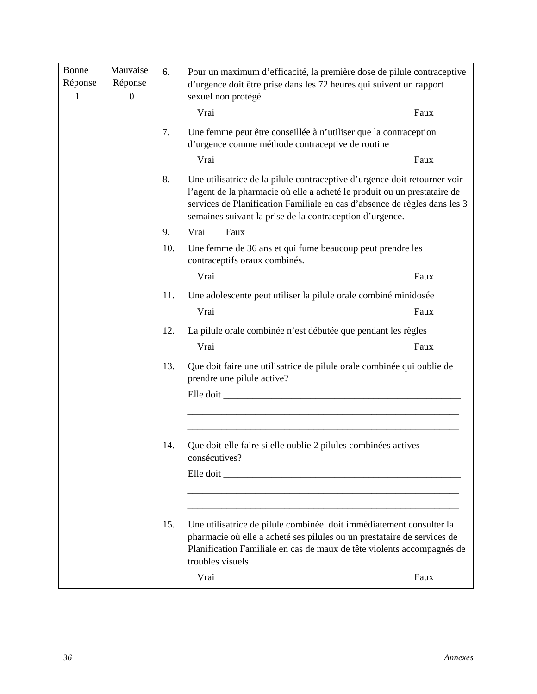| Bonne<br>Réponse<br>$\mathbf{1}$ | Mauvaise<br>Réponse<br>$\mathbf{0}$ | 6.  | Pour un maximum d'efficacité, la première dose de pilule contraceptive<br>d'urgence doit être prise dans les 72 heures qui suivent un rapport<br>sexuel non protégé                                                                                                                            |      |
|----------------------------------|-------------------------------------|-----|------------------------------------------------------------------------------------------------------------------------------------------------------------------------------------------------------------------------------------------------------------------------------------------------|------|
|                                  |                                     |     | Vrai                                                                                                                                                                                                                                                                                           | Faux |
|                                  |                                     | 7.  | Une femme peut être conseillée à n'utiliser que la contraception<br>d'urgence comme méthode contraceptive de routine<br>Vrai                                                                                                                                                                   | Faux |
|                                  |                                     | 8.  | Une utilisatrice de la pilule contraceptive d'urgence doit retourner voir<br>l'agent de la pharmacie où elle a acheté le produit ou un prestataire de<br>services de Planification Familiale en cas d'absence de règles dans les 3<br>semaines suivant la prise de la contraception d'urgence. |      |
|                                  |                                     | 9.  | Vrai<br>Faux                                                                                                                                                                                                                                                                                   |      |
|                                  |                                     | 10. | Une femme de 36 ans et qui fume beaucoup peut prendre les<br>contraceptifs oraux combinés.                                                                                                                                                                                                     |      |
|                                  |                                     |     | Vrai                                                                                                                                                                                                                                                                                           | Faux |
|                                  |                                     | 11. | Une adolescente peut utiliser la pilule orale combiné minidosée                                                                                                                                                                                                                                |      |
|                                  |                                     |     | Vrai                                                                                                                                                                                                                                                                                           | Faux |
|                                  |                                     | 12. | La pilule orale combinée n'est débutée que pendant les règles<br>Vrai                                                                                                                                                                                                                          | Faux |
|                                  |                                     | 13. | Que doit faire une utilisatrice de pilule orale combinée qui oublie de<br>prendre une pilule active?                                                                                                                                                                                           |      |
|                                  |                                     |     |                                                                                                                                                                                                                                                                                                |      |
|                                  |                                     | 14. | Que doit-elle faire si elle oublie 2 pilules combinées actives<br>consécutives?                                                                                                                                                                                                                |      |
|                                  |                                     |     | Elle doit                                                                                                                                                                                                                                                                                      |      |
|                                  |                                     | 15. | Une utilisatrice de pilule combinée doit immédiatement consulter la<br>pharmacie où elle a acheté ses pilules ou un prestataire de services de<br>Planification Familiale en cas de maux de tête violents accompagnés de<br>troubles visuels                                                   |      |
|                                  |                                     |     | Vrai                                                                                                                                                                                                                                                                                           | Faux |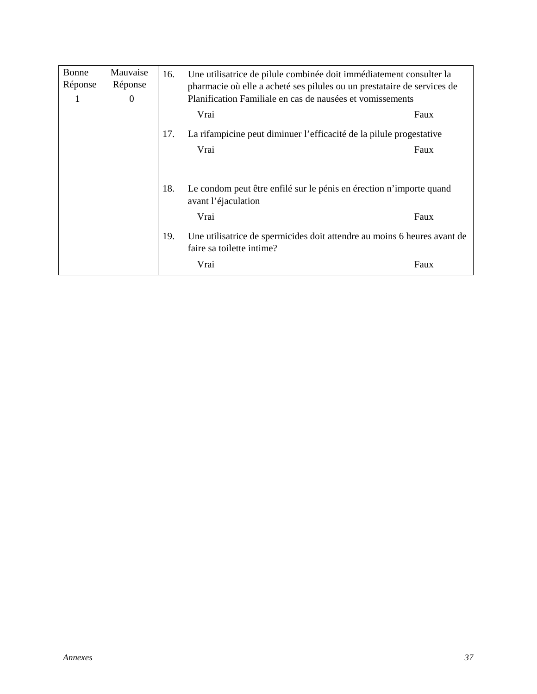| Bonne<br>Réponse<br>1 | Mauvaise<br>Réponse<br>$\theta$ | 16. | Une utilisatrice de pilule combinée doit immédiatement consulter la<br>pharmacie où elle a acheté ses pilules ou un prestataire de services de<br>Planification Familiale en cas de nausées et vomissements |      |  |
|-----------------------|---------------------------------|-----|-------------------------------------------------------------------------------------------------------------------------------------------------------------------------------------------------------------|------|--|
|                       |                                 |     | Vrai<br>Faux                                                                                                                                                                                                |      |  |
|                       |                                 | 17. | La rifampicine peut diminuer l'efficacité de la pilule progestative                                                                                                                                         |      |  |
|                       |                                 |     | Vrai                                                                                                                                                                                                        | Faux |  |
|                       |                                 |     |                                                                                                                                                                                                             |      |  |
|                       |                                 | 18. | Le condom peut être enfilé sur le pénis en érection n'importe quand<br>avant l'éjaculation                                                                                                                  |      |  |
|                       |                                 |     | Vrai                                                                                                                                                                                                        | Faux |  |
|                       |                                 | 19. | Une utilisatrice de spermicides doit attendre au moins 6 heures avant de<br>faire sa toilette intime?                                                                                                       |      |  |
|                       |                                 |     | Vrai                                                                                                                                                                                                        | Faux |  |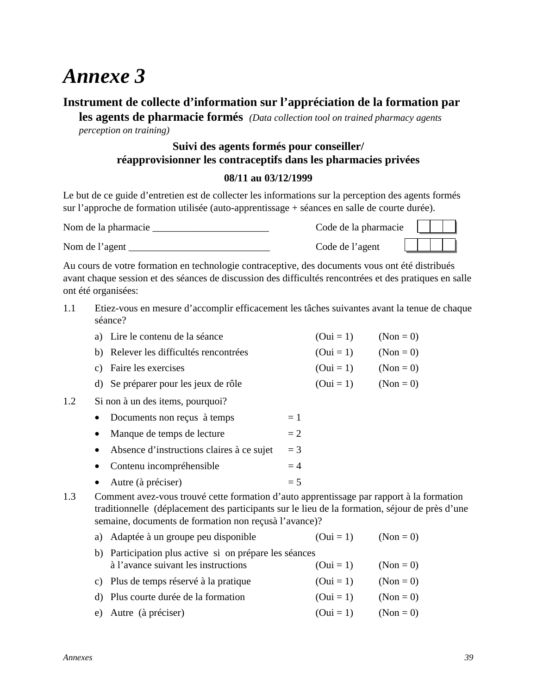### **Instrument de collecte d'information sur l'appréciation de la formation par**

**les agents de pharmacie formés** *(Data collection tool on trained pharmacy agents perception on training)*

### **Suivi des agents formés pour conseiller/ réapprovisionner les contraceptifs dans les pharmacies privées**

#### **08/11 au 03/12/1999**

Le but de ce guide d'entretien est de collecter les informations sur la perception des agents formés sur l'approche de formation utilisée (auto-apprentissage + séances en salle de courte durée).

| Nom de la pharmacie | Code de la pharmacie |  |  |
|---------------------|----------------------|--|--|
| Nom de l'agent      | Code de l'agent      |  |  |

Au cours de votre formation en technologie contraceptive, des documents vous ont été distribués avant chaque session et des séances de discussion des difficultés rencontrées et des pratiques en salle ont été organisées:

1.1 Etiez-vous en mesure d'accomplir efficacement les tâches suivantes avant la tenue de chaque séance?

| a) Lire le contenu de la séance        | $(0ui = 1)$ $(Non = 0)$ |  |
|----------------------------------------|-------------------------|--|
| b) Relever les difficultés rencontrées | $(0ui = 1)$ $(Non = 0)$ |  |
| c) Faire les exercises                 | $(0ui = 1)$ $(Non = 0)$ |  |

- d) Se préparer pour les jeux de rôle  $(Oui = 1)$   $(Non = 0)$
- 1.2 Si non à un des items, pourquoi?
	- Documents non reçus à temps  $= 1$
	- Manque de temps de lecture  $= 2$
	- Absence d'instructions claires à ce sujet  $= 3$
	- Contenu incompréhensible  $= 4$
	- Autre (à préciser)  $= 5$
- 1.3 Comment avez-vous trouvé cette formation d'auto apprentissage par rapport à la formation traditionnelle (déplacement des participants sur le lieu de la formation, séjour de près d'une semaine, documents de formation non reçusà l'avance)?
	- a) Adaptée à un groupe peu disponible  $(Out = 1)$   $(Non = 0)$
	- b) Participation plus active si on prépare les séances à l'avance suivant les instructions  $(Oui = 1)$   $(Non = 0)$ c) Plus de temps réservé à la pratique  $(0u = 1)$   $(Non = 0)$ d) Plus courte durée de la formation  $(Oui = 1)$   $(Non = 0)$
	- e) Autre (à préciser)  $(0ui = 1)$   $(Non = 0)$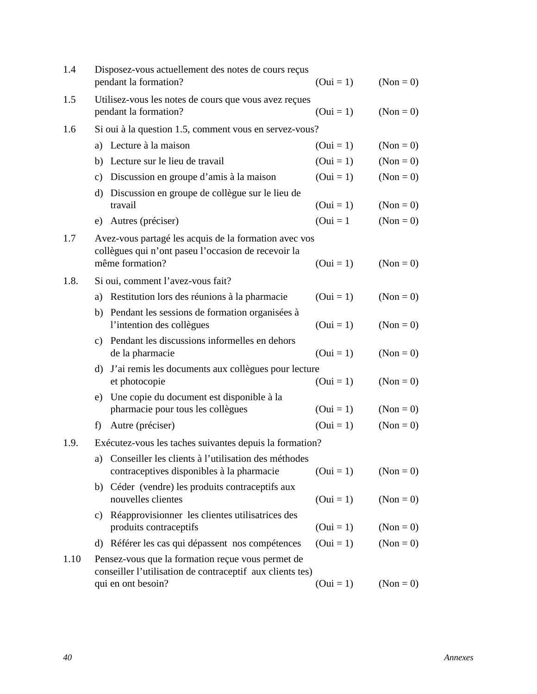| 1.4  |              | Disposez-vous actuellement des notes de cours reçus<br>pendant la formation?                                                         | $(0ui = 1)$ | $(Non = 0)$ |
|------|--------------|--------------------------------------------------------------------------------------------------------------------------------------|-------------|-------------|
| 1.5  |              | Utilisez-vous les notes de cours que vous avez reçues<br>pendant la formation?                                                       | $(0ui = 1)$ | $(Non = 0)$ |
| 1.6  |              | Si oui à la question 1.5, comment vous en servez-vous?                                                                               |             |             |
|      |              | a) Lecture à la maison                                                                                                               | $(0ui = 1)$ | $(Non = 0)$ |
|      |              | b) Lecture sur le lieu de travail                                                                                                    | $(0ui = 1)$ | $(Non = 0)$ |
|      |              | c) Discussion en groupe d'amis à la maison                                                                                           | $(0ui = 1)$ | $(Non = 0)$ |
|      | d)           | Discussion en groupe de collègue sur le lieu de<br>travail                                                                           | $(0ui = 1)$ | $(Non = 0)$ |
|      |              | e) Autres (préciser)                                                                                                                 | $(0ui = 1)$ | $(Non = 0)$ |
| 1.7  |              | Avez-vous partagé les acquis de la formation avec vos<br>collègues qui n'ont paseu l'occasion de recevoir la<br>même formation?      | $(0ui = 1)$ | $(Non = 0)$ |
| 1.8. |              | Si oui, comment l'avez-vous fait?                                                                                                    |             |             |
|      |              | a) Restitution lors des réunions à la pharmacie                                                                                      | $(0ui = 1)$ | $(Non = 0)$ |
|      |              | b) Pendant les sessions de formation organisées à<br>l'intention des collègues                                                       | $(0ui = 1)$ | $(Non = 0)$ |
|      |              | c) Pendant les discussions informelles en dehors<br>de la pharmacie                                                                  | $(0ui = 1)$ | $(Non = 0)$ |
|      |              | d) J'ai remis les documents aux collègues pour lecture<br>et photocopie                                                              | $(0ui = 1)$ | $(Non = 0)$ |
|      |              | e) Une copie du document est disponible à la<br>pharmacie pour tous les collègues                                                    | $(0ui = 1)$ | $(Non = 0)$ |
|      | $\mathbf{f}$ | Autre (préciser)                                                                                                                     | $(0ui = 1)$ | $(Non = 0)$ |
| 1.9. |              | Exécutez-vous les taches suivantes depuis la formation?                                                                              |             |             |
|      |              | a) Conseiller les clients à l'utilisation des méthodes<br>contraceptives disponibles à la pharmacie                                  | $(0ui = 1)$ | $(Non = 0)$ |
|      | b)           | Céder (vendre) les produits contraceptifs aux<br>nouvelles clientes                                                                  | $(0ui = 1)$ | $(Non = 0)$ |
|      | C)           | Réapprovisionner les clientes utilisatrices des<br>produits contraceptifs                                                            | $(0ui = 1)$ | $(Non = 0)$ |
|      |              | d) Référer les cas qui dépassent nos compétences                                                                                     | $(0ui = 1)$ | $(Non = 0)$ |
| 1.10 |              | Pensez-vous que la formation reçue vous permet de<br>conseiller l'utilisation de contraceptif aux clients tes)<br>qui en ont besoin? | $(0ui = 1)$ | $(Non = 0)$ |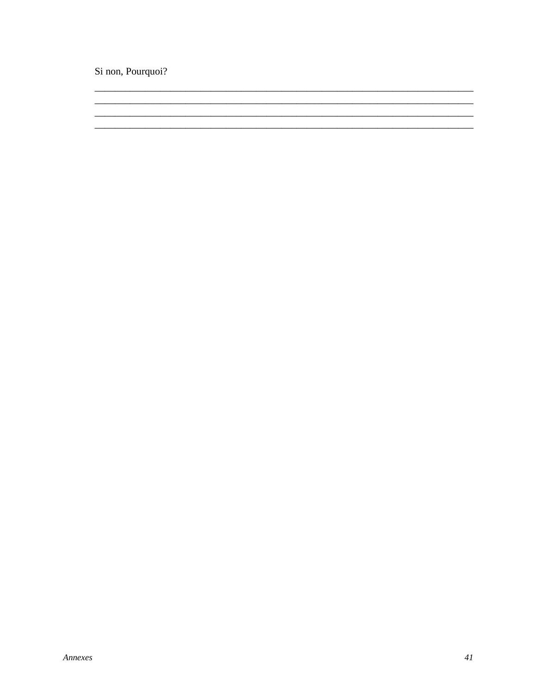Si non, Pourquoi?

<u> 1989 - Jan James James James James James James James James James James James James James James James James J</u>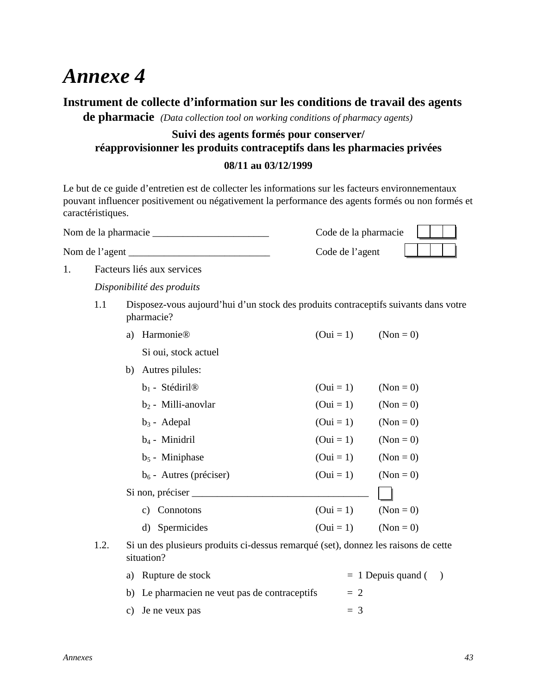### **Instrument de collecte d'information sur les conditions de travail des agents**

**de pharmacie** *(Data collection tool on working conditions of pharmacy agents)*

### **Suivi des agents formés pour conserver/ réapprovisionner les produits contraceptifs dans les pharmacies privées**

#### **08/11 au 03/12/1999**

Le but de ce guide d'entretien est de collecter les informations sur les facteurs environnementaux pouvant influencer positivement ou négativement la performance des agents formés ou non formés et caractéristiques.

Nom de la pharmacie \_\_\_\_\_\_\_\_\_\_\_\_\_\_\_\_\_\_\_\_\_\_\_ Code de la pharmacie

Nom de l'agent \_\_\_\_\_\_\_\_\_\_\_\_\_\_\_\_\_\_\_\_\_\_\_\_\_\_\_\_ Code de l'agent

1. Facteurs liés aux services

1.1 Disposez-vous aujourd'hui d'un stock des produits contraceptifs suivants dans votre pharmacie?

| Harmonie <sup>®</sup><br>a)   | $(0ui = 1)$ | $(Non = 0)$ |
|-------------------------------|-------------|-------------|
| Si oui, stock actuel          |             |             |
| b) Autres pilules:            |             |             |
| $b_1$ - Stédiril <sup>®</sup> | $(0ui = 1)$ | $(Non = 0)$ |
| $b_2$ - Milli-anovlar         | $(0ui = 1)$ | $(Non = 0)$ |
| $b_3$ - Adepal                | $(0ui = 1)$ | $(Non = 0)$ |
| $b_4$ - Minidril              | $(0ui = 1)$ | $(Non = 0)$ |
| $b_5$ - Miniphase             | $(0ui = 1)$ | $(Non = 0)$ |
| $b_6$ - Autres (préciser)     | $(0ui = 1)$ | $(Non = 0)$ |
| Si non, préciser __           |             |             |
| Connotons<br>C)               | $(0ui = 1)$ | $(Non = 0)$ |
| Spermicides<br>d)             | $(0ui = 1)$ | $(Non = 0)$ |
|                               |             |             |

1.2. Si un des plusieurs produits ci-dessus remarqué (set), donnez les raisons de cette situation?

| a) Rupture de stock                           | $= 1$ Depuis quand () |  |
|-----------------------------------------------|-----------------------|--|
| b) Le pharmacien ne veut pas de contraceptifs | $= 2$                 |  |
| c) Je ne veux pas                             | $=$ 3                 |  |

*Disponibilité des produits*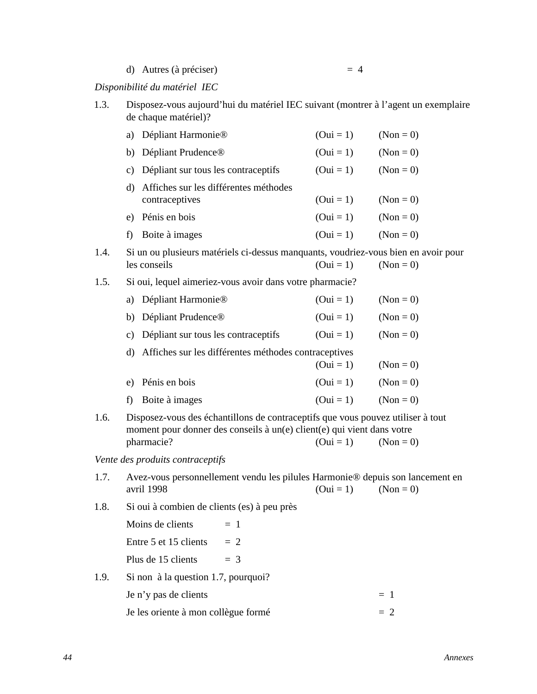d) Autres (à préciser)  $= 4$ 

#### *Disponibilité du matériel IEC*

| 1.3. | Disposez-vous aujourd'hui du matériel IEC suivant (montrer à l'agent un exemplaire |
|------|------------------------------------------------------------------------------------|
|      | de chaque matériel)?                                                               |

|      | a)                                | Dépliant Harmonie <sup>®</sup>                                                     | $(0ui = 1)$ | $(Non = 0)$ |
|------|-----------------------------------|------------------------------------------------------------------------------------|-------------|-------------|
|      | b) Dépliant Prudence <sup>®</sup> |                                                                                    | $(0ui = 1)$ | $(Non = 0)$ |
|      |                                   | c) Dépliant sur tous les contraceptifs                                             | $(0ui = 1)$ | $(Non = 0)$ |
|      | contraceptives                    | d) Affiches sur les différentes méthodes                                           | $(0ui = 1)$ | $(Non = 0)$ |
|      | e) Pénis en bois                  |                                                                                    | $(0ui = 1)$ | $(Non = 0)$ |
|      | Boite à images<br>$\mathbf{f}$    |                                                                                    | $(0ui = 1)$ | $(Non = 0)$ |
| 1.4. | les conseils                      | Si un ou plusieurs matériels ci-dessus manquants, voudriez-vous bien en avoir pour | $(0ui = 1)$ | $(Non = 0)$ |
| 1.5. |                                   | Si oui, lequel aimeriez-vous avoir dans votre pharmacie?                           |             |             |

|    | a) Dépliant Harmonie®                                   | $(0ui = 1)$ | $(Non = 0)$ |
|----|---------------------------------------------------------|-------------|-------------|
| b) | Dépliant Prudence <sup>®</sup>                          | $(0ui = 1)$ | $(Non = 0)$ |
| C) | Dépliant sur tous les contraceptifs                     | $(0ui = 1)$ | $(Non = 0)$ |
|    | d) Affiches sur les différentes méthodes contraceptives |             |             |
|    |                                                         | $(0ui = 1)$ | $(Non = 0)$ |
|    | e) Pénis en bois                                        | $(0ui = 1)$ | $(Non = 0)$ |
|    | Boite à images                                          | $(0ui = 1)$ | $(Non = 0)$ |
|    |                                                         |             |             |

1.6. Disposez-vous des échantillons de contraceptifs que vous pouvez utiliser à tout moment pour donner des conseils à un(e) client(e) qui vient dans votre pharmacie? (Oui = 1) (Non = 0)

#### *Vente des produits contraceptifs*

|      | 1.7. Avez-vous personnellement vendu les pilules Harmonie® depuis son lancement en |                         |  |  |  |  |
|------|------------------------------------------------------------------------------------|-------------------------|--|--|--|--|
|      | avril 1998                                                                         | $(0ui = 1)$ $(Non = 0)$ |  |  |  |  |
| 1.8. | Si oui à combien de clients (es) à peu près                                        |                         |  |  |  |  |

Moins de clients  $= 1$ 

Entre 5 et 15 clients  $= 2$ 

Plus de 15 clients  $= 3$ 

1.9. Si non à la question 1.7, pourquoi?

| Je n'y pas de clients               | $= 1$ |
|-------------------------------------|-------|
| Je les oriente à mon collègue formé | $= 2$ |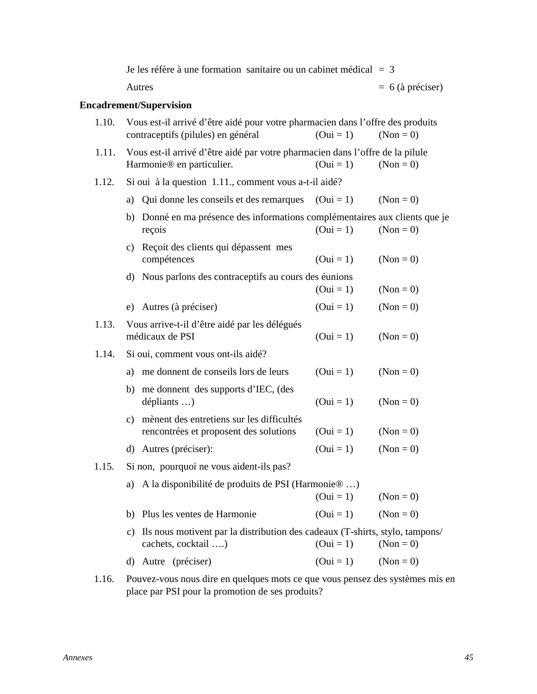|       | Je les réfère à une formation sanitaire ou un cabinet médical $=$ 3                                                    |             |                    |
|-------|------------------------------------------------------------------------------------------------------------------------|-------------|--------------------|
|       | Autres                                                                                                                 |             | $= 6$ (à préciser) |
|       | <b>Encadrement/Supervision</b>                                                                                         |             |                    |
| 1.10. | Vous est-il arrivé d'être aidé pour votre pharmacien dans l'offre des produits<br>contraceptifs (pilules) en général   | $(0ui = 1)$ | $(Non = 0)$        |
| 1.11. | Vous est-il arrivé d'être aidé par votre pharmacien dans l'offre de la pilule<br>Harmonie <sup>®</sup> en particulier. | $(0ui = 1)$ | $(Non = 0)$        |
| 1.12. | Si oui à la question 1.11., comment vous a-t-il aidé?                                                                  |             |                    |
|       | a) Qui donne les conseils et des remarques                                                                             | $(0ui = 1)$ | $(Non = 0)$        |
|       | b) Donné en ma présence des informations complémentaires aux clients que je<br>reçois                                  | $(0ui = 1)$ | $(Non = 0)$        |
|       | Reçoit des clients qui dépassent mes<br>c)<br>compétences                                                              | $(0ui = 1)$ | $(Non = 0)$        |
|       | d) Nous parlons des contraceptifs au cours des éunions                                                                 | $(0ui = 1)$ | $(Non = 0)$        |
|       | Autres (à préciser)<br>e)                                                                                              | $(0ui = 1)$ | $(Non = 0)$        |
| 1.13. | Vous arrive-t-il d'être aidé par les délégués<br>médicaux de PSI                                                       | $(0ui = 1)$ | $(Non = 0)$        |
| 1.14. | Si oui, comment vous ont-ils aidé?                                                                                     |             |                    |
|       | me donnent de conseils lors de leurs<br>a)                                                                             | $(0ui = 1)$ | $(Non = 0)$        |
|       | me donnent des supports d'IEC, (des<br>b)<br>dépliants )                                                               | $(0ui = 1)$ | $(Non = 0)$        |
|       | c) mènent des entretiens sur les difficultés<br>rencontrées et proposent des solutions                                 | $(0ui = 1)$ | $(Non = 0)$        |
|       | d) Autres (préciser):                                                                                                  | $(0ui = 1)$ | $(Non = 0)$        |
| 1.15. | Si non, pourquoi ne vous aident-ils pas?                                                                               |             |                    |
|       | A la disponibilité de produits de PSI (Harmonie ® )<br>a)                                                              | $(0ui = 1)$ | $(Non = 0)$        |
|       | Plus les ventes de Harmonie<br>b)                                                                                      | $(0ui = 1)$ | $(Non = 0)$        |
|       | Ils nous motivent par la distribution des cadeaux (T-shirts, stylo, tampons/<br>$\mathcal{C}$ )<br>cachets, cocktail ) | $(0ui = 1)$ | $(Non = 0)$        |
|       | d) Autre (préciser)                                                                                                    | $(0ui = 1)$ | $(Non = 0)$        |
|       | 1.16. Pouvez-vous nous dire en quelques mots ce que vous pensez des systèmes mis e                                     |             |                    |

1.16. Pouvez-vous nous dire en quelques mots ce que vous pensez des systèmes mis en place par PSI pour la promotion de ses produits?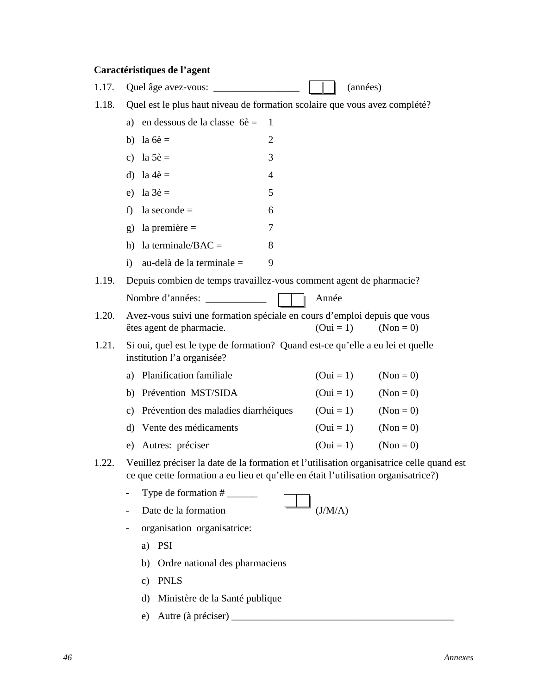### **Caractéristiques de l'agent**

| 1.17. |                                                                                                                                                                                |                | (années)    |             |  |
|-------|--------------------------------------------------------------------------------------------------------------------------------------------------------------------------------|----------------|-------------|-------------|--|
| 1.18. | Quel est le plus haut niveau de formation scolaire que vous avez complété?                                                                                                     |                |             |             |  |
|       | a) en dessous de la classe $6\hat{e}$ =                                                                                                                                        | 1              |             |             |  |
|       | b) la $6\hat{e}$ =                                                                                                                                                             | $\overline{2}$ |             |             |  |
|       | c) la $5\hat{e}$ =                                                                                                                                                             | 3              |             |             |  |
|       | d) la $4\hat{e}$ =                                                                                                                                                             | 4              |             |             |  |
|       | e) la $3\hat{e}$ =                                                                                                                                                             | 5              |             |             |  |
|       | la seconde $=$<br>f)                                                                                                                                                           | 6              |             |             |  |
|       | g) la première $=$                                                                                                                                                             | 7              |             |             |  |
|       | h) la terminale/ $BAC =$                                                                                                                                                       | 8              |             |             |  |
|       | au-delà de la terminale =<br>$\mathbf{i}$                                                                                                                                      | 9              |             |             |  |
| 1.19. | Depuis combien de temps travaillez-vous comment agent de pharmacie?                                                                                                            |                |             |             |  |
|       | Nombre d'années:                                                                                                                                                               |                | Année       |             |  |
| 1.20. | Avez-vous suivi une formation spéciale en cours d'emploi depuis que vous<br>êtes agent de pharmacie.                                                                           |                | $(0ui = 1)$ | $(Non = 0)$ |  |
| 1.21. | Si oui, quel est le type de formation? Quand est-ce qu'elle a eu lei et quelle<br>institution l'a organisée?                                                                   |                |             |             |  |
|       | a) Planification familiale                                                                                                                                                     |                | $(0ui = 1)$ | $(Non = 0)$ |  |
|       | b) Prévention MST/SIDA                                                                                                                                                         |                | $(0ui = 1)$ | $(Non = 0)$ |  |
|       | c) Prévention des maladies diarrhéiques                                                                                                                                        |                | $(0ui = 1)$ | $(Non = 0)$ |  |
|       | d) Vente des médicaments                                                                                                                                                       |                | $(0ui = 1)$ | $(Non = 0)$ |  |
|       | e) Autres: préciser                                                                                                                                                            |                | $(0ui = 1)$ | $(Non = 0)$ |  |
| 1.22. | Veuillez préciser la date de la formation et l'utilisation organisatrice celle quand est<br>ce que cette formation a eu lieu et qu'elle en était l'utilisation organisatrice?) |                |             |             |  |
|       |                                                                                                                                                                                |                |             |             |  |
|       | Date de la formation                                                                                                                                                           |                | (J/M/A)     |             |  |
|       | organisation organisatrice:                                                                                                                                                    |                |             |             |  |
|       | <b>PSI</b><br>a)                                                                                                                                                               |                |             |             |  |
|       | Ordre national des pharmaciens<br>b)                                                                                                                                           |                |             |             |  |
|       | <b>PNLS</b><br>$\mathbf{c})$                                                                                                                                                   |                |             |             |  |
|       | Ministère de la Santé publique<br>$\rm d$                                                                                                                                      |                |             |             |  |
|       | e)                                                                                                                                                                             |                |             |             |  |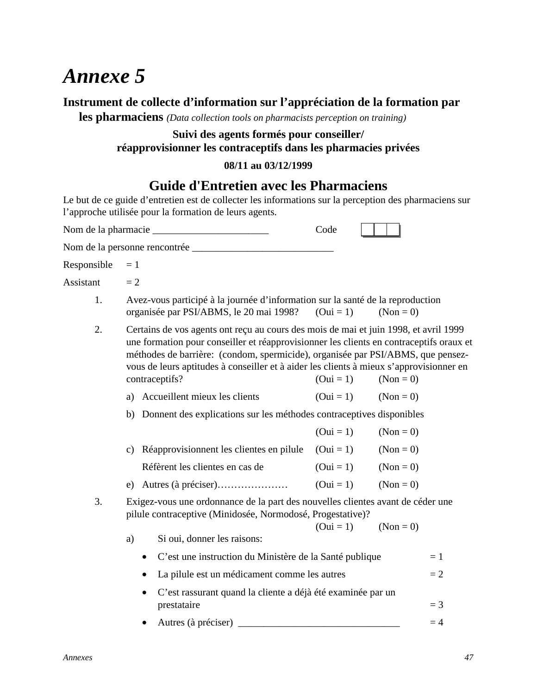### **Instrument de collecte d'information sur l'appréciation de la formation par**

**les pharmaciens** *(Data collection tools on pharmacists perception on training)*

### **Suivi des agents formés pour conseiller/ réapprovisionner les contraceptifs dans les pharmacies privées**

#### **08/11 au 03/12/1999**

### **Guide d'Entretien avec les Pharmaciens**

Le but de ce guide d'entretien est de collecter les informations sur la perception des pharmaciens sur l'approche utilisée pour la formation de leurs agents.

|             |                                                                                                                                                                                                                                                                                                                                                                                 | Code        |             |
|-------------|---------------------------------------------------------------------------------------------------------------------------------------------------------------------------------------------------------------------------------------------------------------------------------------------------------------------------------------------------------------------------------|-------------|-------------|
|             |                                                                                                                                                                                                                                                                                                                                                                                 |             |             |
| Responsible | $=1$                                                                                                                                                                                                                                                                                                                                                                            |             |             |
| Assistant   | $= 2$                                                                                                                                                                                                                                                                                                                                                                           |             |             |
| 1.          | Avez-vous participé à la journée d'information sur la santé de la reproduction<br>organisée par PSI/ABMS, le 20 mai 1998?                                                                                                                                                                                                                                                       | $(0ui = 1)$ | $(Non = 0)$ |
| 2.          | Certains de vos agents ont reçu au cours des mois de mai et juin 1998, et avril 1999<br>une formation pour conseiller et réapprovisionner les clients en contraceptifs oraux et<br>méthodes de barrière: (condom, spermicide), organisée par PSI/ABMS, que pensez-<br>vous de leurs aptitudes à conseiller et à aider les clients à mieux s'approvisionner en<br>contraceptifs? | $(0ui = 1)$ | $(Non = 0)$ |
|             | a) Accueillent mieux les clients                                                                                                                                                                                                                                                                                                                                                | $(0ui = 1)$ | $(Non = 0)$ |
|             | Donnent des explications sur les méthodes contraceptives disponibles<br>b)                                                                                                                                                                                                                                                                                                      |             |             |
|             |                                                                                                                                                                                                                                                                                                                                                                                 | $(0ui = 1)$ | $(Non = 0)$ |
|             | Réapprovisionnent les clientes en pilule<br>$\mathbf{c}$ )                                                                                                                                                                                                                                                                                                                      | $(0ui = 1)$ | $(Non = 0)$ |
|             | Réfèrent les clientes en cas de                                                                                                                                                                                                                                                                                                                                                 | $(0ui = 1)$ | $(Non = 0)$ |
|             | Autres (à préciser)<br>e)                                                                                                                                                                                                                                                                                                                                                       | $(0ui = 1)$ | $(Non = 0)$ |
| 3.          | Exigez-vous une ordonnance de la part des nouvelles clientes avant de céder une<br>pilule contraceptive (Minidosée, Normodosé, Progestative)?                                                                                                                                                                                                                                   | $(0ui = 1)$ | $(Non = 0)$ |
|             | Si oui, donner les raisons:<br>a)                                                                                                                                                                                                                                                                                                                                               |             |             |
|             | C'est une instruction du Ministère de la Santé publique                                                                                                                                                                                                                                                                                                                         |             | $=1$        |
|             | La pilule est un médicament comme les autres                                                                                                                                                                                                                                                                                                                                    |             | $=2$        |
|             | C'est rassurant quand la cliente a déjà été examinée par un                                                                                                                                                                                                                                                                                                                     |             |             |
|             | prestataire                                                                                                                                                                                                                                                                                                                                                                     |             | $=$ 3       |
|             |                                                                                                                                                                                                                                                                                                                                                                                 |             | $=4$        |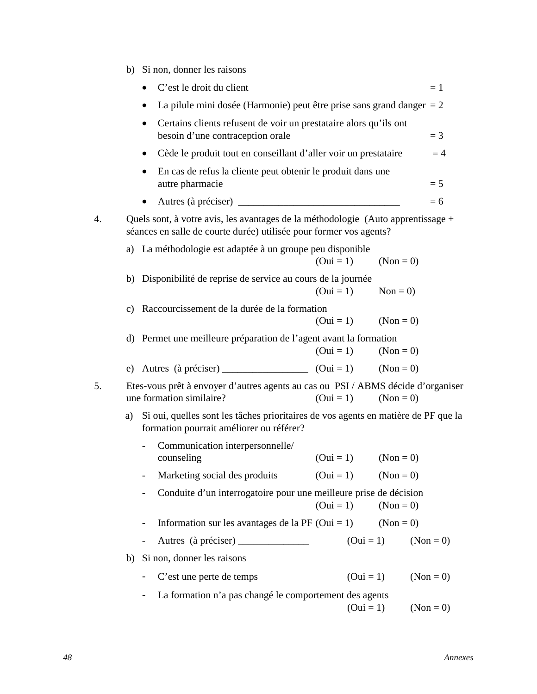|    |                                                                                                            | b) Si non, donner les raisons                                                                                                                          |  |             |             |             |       |
|----|------------------------------------------------------------------------------------------------------------|--------------------------------------------------------------------------------------------------------------------------------------------------------|--|-------------|-------------|-------------|-------|
|    |                                                                                                            | C'est le droit du client                                                                                                                               |  |             |             |             | $=1$  |
|    | La pilule mini dosée (Harmonie) peut être prise sans grand danger $= 2$<br>٠                               |                                                                                                                                                        |  |             |             |             |       |
|    | Certains clients refusent de voir un prestataire alors qu'ils ont<br>٠<br>besoin d'une contraception orale |                                                                                                                                                        |  |             |             |             | $=$ 3 |
|    | $\bullet$                                                                                                  | Cède le produit tout en conseillant d'aller voir un prestataire                                                                                        |  |             |             |             | $=4$  |
|    | ٠                                                                                                          | En cas de refus la cliente peut obtenir le produit dans une<br>autre pharmacie                                                                         |  |             |             |             | $= 5$ |
|    |                                                                                                            |                                                                                                                                                        |  |             |             |             | $= 6$ |
| 4. |                                                                                                            | Quels sont, à votre avis, les avantages de la méthodologie (Auto apprentissage +<br>séances en salle de courte durée) utilisée pour former vos agents? |  |             |             |             |       |
|    |                                                                                                            | a) La méthodologie est adaptée à un groupe peu disponible                                                                                              |  | $(0ui = 1)$ | $(Non = 0)$ |             |       |
|    |                                                                                                            | b) Disponibilité de reprise de service au cours de la journée                                                                                          |  | $(0ui = 1)$ | $Non = 0$   |             |       |
|    |                                                                                                            | c) Raccourcissement de la durée de la formation                                                                                                        |  | $(0ui = 1)$ | $(Non = 0)$ |             |       |
|    |                                                                                                            | d) Permet une meilleure préparation de l'agent avant la formation                                                                                      |  | $(0ui = 1)$ | $(Non = 0)$ |             |       |
|    |                                                                                                            | e) Autres (à préciser) _________________ (Oui = 1) (Non = 0)                                                                                           |  |             |             |             |       |
| 5. |                                                                                                            | Etes-vous prêt à envoyer d'autres agents au cas ou PSI / ABMS décide d'organiser<br>une formation similaire?                                           |  | $(0ui = 1)$ | $(Non = 0)$ |             |       |
|    |                                                                                                            | a) Si oui, quelles sont les tâches prioritaires de vos agents en matière de PF que la<br>formation pourrait améliorer ou référer?                      |  |             |             |             |       |
|    |                                                                                                            | Communication interpersonnelle/<br>counseling                                                                                                          |  | $(0ui = 1)$ | $(Non = 0)$ |             |       |
|    | $\qquad \qquad \blacksquare$                                                                               | Marketing social des produits                                                                                                                          |  | $(0ui = 1)$ | $(Non = 0)$ |             |       |
|    | $\blacksquare$                                                                                             | Conduite d'un interrogatoire pour une meilleure prise de décision                                                                                      |  | $(0ui = 1)$ | $(Non = 0)$ |             |       |
|    |                                                                                                            | Information sur les avantages de la PF (Oui = 1)                                                                                                       |  |             | $(Non = 0)$ |             |       |
|    | $\blacksquare$                                                                                             | Autres (à préciser) ______________                                                                                                                     |  |             | $(0ui = 1)$ | $(Non = 0)$ |       |
|    |                                                                                                            | b) Si non, donner les raisons                                                                                                                          |  |             |             |             |       |
|    |                                                                                                            | C'est une perte de temps                                                                                                                               |  |             | $(0ui = 1)$ | $(Non = 0)$ |       |

- La formation n'a pas changé le comportement des agents  $(0ui = 1)$   $(Non = 0)$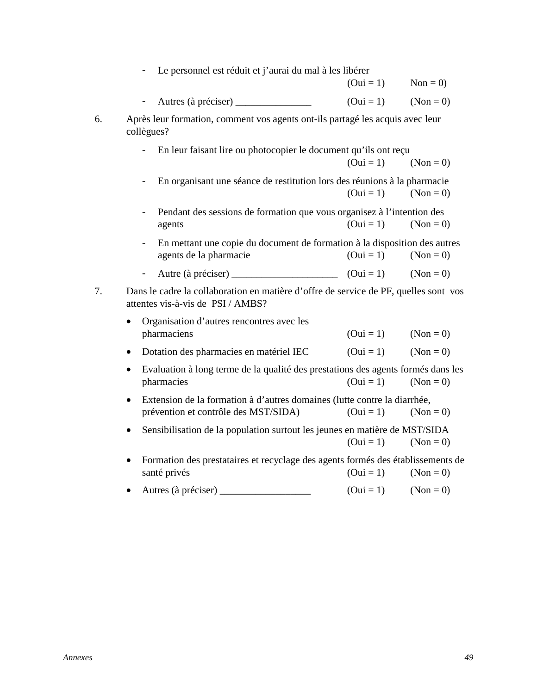|                          |                        | $(0ui = 1)$                                                                                                                                                                                                                  | Non = $0$ )                                                                                                                                                                                                                                                                                                                                                                                                                                                                                                                                                                                                                                                                                                                                                                                                                                                                                                                                         |  |
|--------------------------|------------------------|------------------------------------------------------------------------------------------------------------------------------------------------------------------------------------------------------------------------------|-----------------------------------------------------------------------------------------------------------------------------------------------------------------------------------------------------------------------------------------------------------------------------------------------------------------------------------------------------------------------------------------------------------------------------------------------------------------------------------------------------------------------------------------------------------------------------------------------------------------------------------------------------------------------------------------------------------------------------------------------------------------------------------------------------------------------------------------------------------------------------------------------------------------------------------------------------|--|
|                          |                        |                                                                                                                                                                                                                              | $(Non = 0)$                                                                                                                                                                                                                                                                                                                                                                                                                                                                                                                                                                                                                                                                                                                                                                                                                                                                                                                                         |  |
|                          |                        |                                                                                                                                                                                                                              |                                                                                                                                                                                                                                                                                                                                                                                                                                                                                                                                                                                                                                                                                                                                                                                                                                                                                                                                                     |  |
|                          |                        | $(0ui = 1)$                                                                                                                                                                                                                  | $(Non = 0)$                                                                                                                                                                                                                                                                                                                                                                                                                                                                                                                                                                                                                                                                                                                                                                                                                                                                                                                                         |  |
|                          |                        | $(0ui = 1)$                                                                                                                                                                                                                  | $(Non = 0)$                                                                                                                                                                                                                                                                                                                                                                                                                                                                                                                                                                                                                                                                                                                                                                                                                                                                                                                                         |  |
|                          | agents                 | $(0ui = 1)$                                                                                                                                                                                                                  | $(Non = 0)$                                                                                                                                                                                                                                                                                                                                                                                                                                                                                                                                                                                                                                                                                                                                                                                                                                                                                                                                         |  |
| $\frac{1}{2}$            | agents de la pharmacie | $(0ui = 1)$                                                                                                                                                                                                                  | $(Non = 0)$                                                                                                                                                                                                                                                                                                                                                                                                                                                                                                                                                                                                                                                                                                                                                                                                                                                                                                                                         |  |
| $\overline{\phantom{a}}$ |                        |                                                                                                                                                                                                                              | $(Non = 0)$                                                                                                                                                                                                                                                                                                                                                                                                                                                                                                                                                                                                                                                                                                                                                                                                                                                                                                                                         |  |
|                          |                        |                                                                                                                                                                                                                              |                                                                                                                                                                                                                                                                                                                                                                                                                                                                                                                                                                                                                                                                                                                                                                                                                                                                                                                                                     |  |
|                          |                        | $(0ui = 1)$                                                                                                                                                                                                                  | $(Non = 0)$                                                                                                                                                                                                                                                                                                                                                                                                                                                                                                                                                                                                                                                                                                                                                                                                                                                                                                                                         |  |
| $\bullet$                |                        | $(0ui = 1)$                                                                                                                                                                                                                  | $(Non = 0)$                                                                                                                                                                                                                                                                                                                                                                                                                                                                                                                                                                                                                                                                                                                                                                                                                                                                                                                                         |  |
|                          |                        | $(0ui = 1)$                                                                                                                                                                                                                  | $(Non = 0)$                                                                                                                                                                                                                                                                                                                                                                                                                                                                                                                                                                                                                                                                                                                                                                                                                                                                                                                                         |  |
| $\bullet$                |                        | $(0ui = 1)$                                                                                                                                                                                                                  | $(Non = 0)$                                                                                                                                                                                                                                                                                                                                                                                                                                                                                                                                                                                                                                                                                                                                                                                                                                                                                                                                         |  |
|                          |                        | $(0ui = 1)$                                                                                                                                                                                                                  | $(Non = 0)$                                                                                                                                                                                                                                                                                                                                                                                                                                                                                                                                                                                                                                                                                                                                                                                                                                                                                                                                         |  |
|                          |                        | $(0ui = 1)$                                                                                                                                                                                                                  | $(Non = 0)$                                                                                                                                                                                                                                                                                                                                                                                                                                                                                                                                                                                                                                                                                                                                                                                                                                                                                                                                         |  |
|                          |                        |                                                                                                                                                                                                                              |                                                                                                                                                                                                                                                                                                                                                                                                                                                                                                                                                                                                                                                                                                                                                                                                                                                                                                                                                     |  |
|                          |                        | collègues?<br>attentes vis-à-vis de PSI / AMBS?<br>Organisation d'autres rencontres avec les<br>pharmaciens<br>Dotation des pharmacies en matériel IEC<br>pharmacies<br>prévention et contrôle des MST/SIDA)<br>santé privés | Le personnel est réduit et j'aurai du mal à les libérer<br>$(0ui = 1)$<br>Après leur formation, comment vos agents ont-ils partagé les acquis avec leur<br>En leur faisant lire ou photocopier le document qu'ils ont reçu<br>En organisant une séance de restitution lors des réunions à la pharmacie<br>Pendant des sessions de formation que vous organisez à l'intention des<br>En mettant une copie du document de formation à la disposition des autres<br>Autre (à préciser) $(0ui = 1)$<br>Dans le cadre la collaboration en matière d'offre de service de PF, quelles sont vos<br>Evaluation à long terme de la qualité des prestations des agents formés dans les<br>Extension de la formation à d'autres domaines (lutte contre la diarrhée,<br>Sensibilisation de la population surtout les jeunes en matière de MST/SIDA<br>Formation des prestataires et recyclage des agents formés des établissements de<br>$(0ui = 1)$ $(Non = 0)$ |  |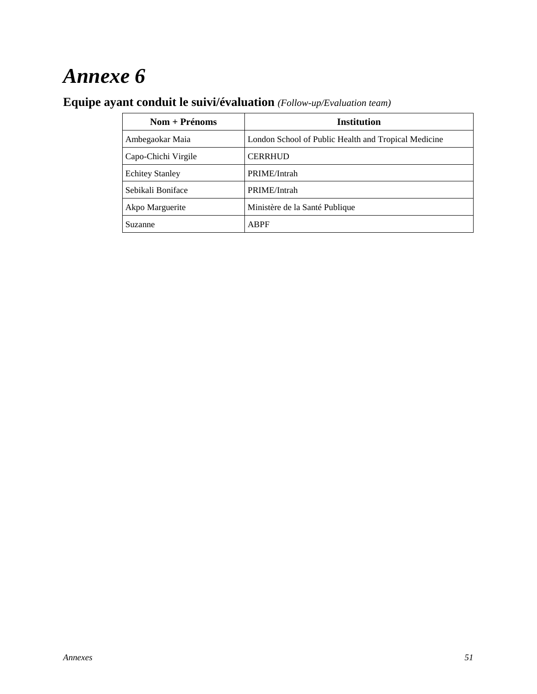## **Equipe ayant conduit le suivi/évaluation** *(Follow-up/Evaluation team)*

| $\text{Nom} + \text{Prénoms}$ | <b>Institution</b>                                   |
|-------------------------------|------------------------------------------------------|
| Ambegaokar Maia               | London School of Public Health and Tropical Medicine |
| Capo-Chichi Virgile           | <b>CERRHUD</b>                                       |
| <b>Echitey Stanley</b>        | PRIME/Intrah                                         |
| Sebikali Boniface             | PRIME/Intrah                                         |
| Akpo Marguerite               | Ministère de la Santé Publique                       |
| Suzanne                       | <b>ABPF</b>                                          |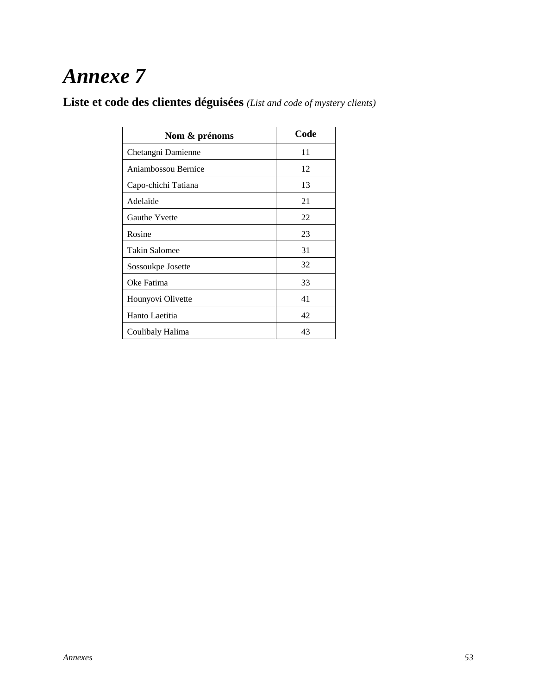**Liste et code des clientes déguisées** *(List and code of mystery clients)*

| Nom & prénoms        | Code |
|----------------------|------|
| Chetangni Damienne   | 11   |
| Aniambossou Bernice  | 12   |
| Capo-chichi Tatiana  | 13   |
| Adelaïde             | 21   |
| <b>Gauthe Yvette</b> | 22   |
| Rosine               | 23   |
| Takin Salomee        | 31   |
| Sossoukpe Josette    | 32   |
| Oke Fatima           | 33   |
| Hounyovi Olivette    | 41   |
| Hanto Laetitia       | 42   |
| Coulibaly Halima     | 43   |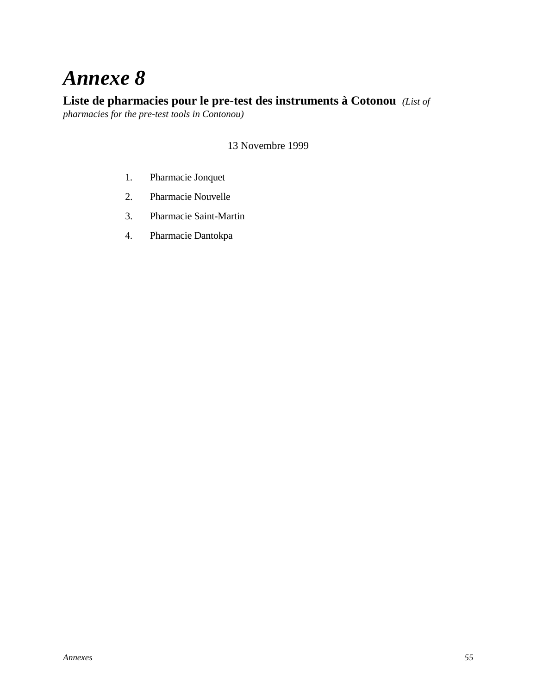### **Liste de pharmacies pour le pre-test des instruments à Cotonou** *(List of*

*pharmacies for the pre-test tools in Contonou)*

#### 13 Novembre 1999

- 1. Pharmacie Jonquet
- 2. Pharmacie Nouvelle
- 3. Pharmacie Saint-Martin
- 4. Pharmacie Dantokpa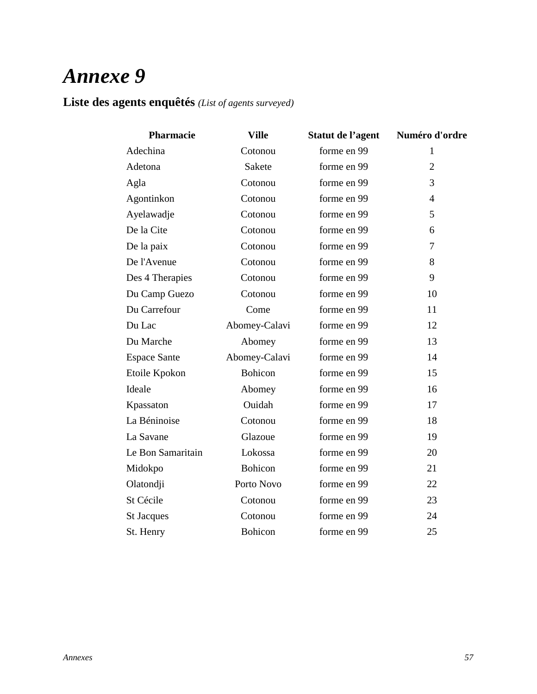### **Liste des agents enquêtés** *(List of agents surveyed)*

| Pharmacie           | <b>Ville</b>   | Statut de l'agent | Numéro d'ordre |
|---------------------|----------------|-------------------|----------------|
| Adechina            | Cotonou        | forme en 99       | 1              |
| Adetona             | Sakete         | forme en 99       | $\overline{2}$ |
| Agla                | Cotonou        | forme en 99       | 3              |
| Agontinkon          | Cotonou        | forme en 99       | $\overline{4}$ |
| Ayelawadje          | Cotonou        | forme en 99       | 5              |
| De la Cite          | Cotonou        | forme en 99       | 6              |
| De la paix          | Cotonou        | forme en 99       | $\overline{7}$ |
| De l'Avenue         | Cotonou        | forme en 99       | 8              |
| Des 4 Therapies     | Cotonou        | forme en 99       | 9              |
| Du Camp Guezo       | Cotonou        | forme en 99       | 10             |
| Du Carrefour        | Come           | forme en 99       | 11             |
| Du Lac              | Abomey-Calavi  | forme en 99       | 12             |
| Du Marche           | Abomey         | forme en 99       | 13             |
| <b>Espace Sante</b> | Abomey-Calavi  | forme en 99       | 14             |
| Etoile Kpokon       | Bohicon        | forme en 99       | 15             |
| Ideale              | Abomey         | forme en 99       | 16             |
| Kpassaton           | Ouidah         | forme en 99       | 17             |
| La Béninoise        | Cotonou        | forme en 99       | 18             |
| La Savane           | Glazoue        | forme en 99       | 19             |
| Le Bon Samaritain   | Lokossa        | forme en 99       | 20             |
| Midokpo             | Bohicon        | forme en 99       | 21             |
| Olatondji           | Porto Novo     | forme en 99       | 22             |
| St Cécile           | Cotonou        | forme en 99       | 23             |
| <b>St Jacques</b>   | Cotonou        | forme en 99       | 24             |
| St. Henry           | <b>Bohicon</b> | forme en 99       | 25             |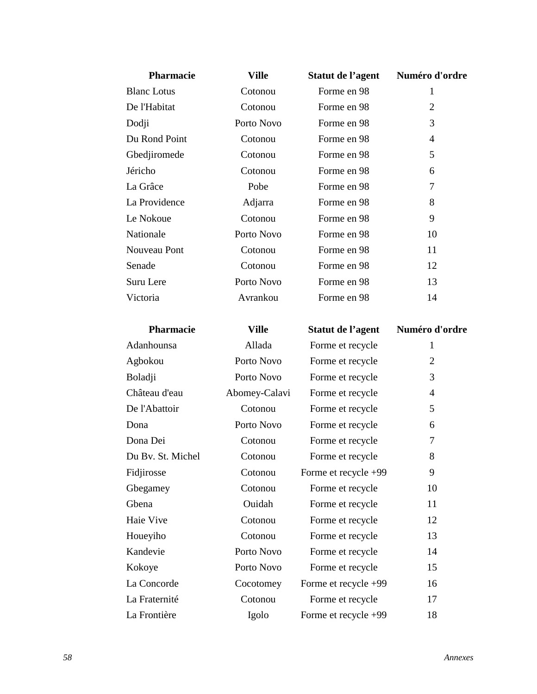| <b>Pharmacie</b>   | <b>Ville</b> | Statut de l'agent | Numéro d'ordre |
|--------------------|--------------|-------------------|----------------|
| <b>Blanc</b> Lotus | Cotonou      | Forme en 98       | 1              |
| De l'Habitat       | Cotonou      | Forme en 98       | $\overline{2}$ |
| Dodji              | Porto Novo   | Forme en 98       | 3              |
| Du Rond Point      | Cotonou      | Forme en 98       | 4              |
| Gbedjiromede       | Cotonou      | Forme en 98       | 5              |
| Jéricho            | Cotonou      | Forme en 98       | 6              |
| La Grâce           | Pobe         | Forme en 98       | 7              |
| La Providence      | Adjarra      | Forme en 98       | 8              |
| Le Nokoue          | Cotonou      | Forme en 98       | 9              |
| Nationale          | Porto Novo   | Forme en 98       | 10             |
| Nouveau Pont       | Cotonou      | Forme en 98       | 11             |
| Senade             | Cotonou      | Forme en 98       | 12             |
| Suru Lere          | Porto Novo   | Forme en 98       | 13             |
| Victoria           | Avrankou     | Forme en 98       | 14             |
|                    |              |                   |                |

| Pharmacie         | Ville         | Statut de l'agent    | Numéro d'ordre |
|-------------------|---------------|----------------------|----------------|
| Adanhounsa        | Allada        | Forme et recycle     | 1              |
| Agbokou           | Porto Novo    | Forme et recycle     | $\overline{2}$ |
| Boladji           | Porto Novo    | Forme et recycle     | 3              |
| Château d'eau     | Abomey-Calavi | Forme et recycle     | $\overline{4}$ |
| De l'Abattoir     | Cotonou       | Forme et recycle     | 5              |
| Dona              | Porto Novo    | Forme et recycle     | 6              |
| Dona Dei          | Cotonou       | Forme et recycle     | 7              |
| Du By. St. Michel | Cotonou       | Forme et recycle     | 8              |
| Fidjirosse        | Cotonou       | Forme et recycle +99 | 9              |
| Gbegamey          | Cotonou       | Forme et recycle     | 10             |
| Gbena             | Ouidah        | Forme et recycle     | 11             |
| Haie Vive         | Cotonou       | Forme et recycle     | 12             |
| Houeyiho          | Cotonou       | Forme et recycle     | 13             |
| Kandevie          | Porto Novo    | Forme et recycle     | 14             |
| Kokoye            | Porto Novo    | Forme et recycle     | 15             |
| La Concorde       | Cocotomey     | Forme et recycle +99 | 16             |
| La Fraternité     | Cotonou       | Forme et recycle     | 17             |
| La Frontière      | Igolo         | Forme et recycle +99 | 18             |